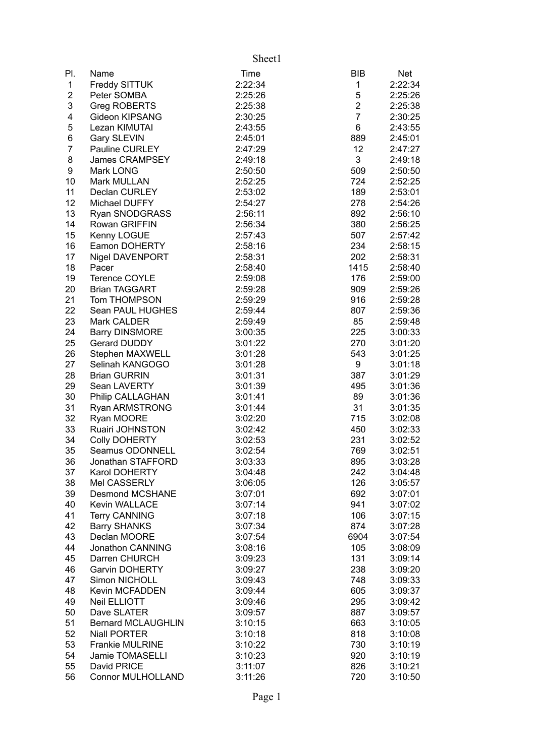|                |                           | Sheet1  |                |            |
|----------------|---------------------------|---------|----------------|------------|
| PI.            | Name                      | Time    | <b>BIB</b>     | <b>Net</b> |
| $\mathbf 1$    | Freddy SITTUK             | 2:22:34 | 1              | 2:22:34    |
| $\mathbf{2}$   | Peter SOMBA               | 2:25:26 | $\mathbf 5$    | 2:25:26    |
| 3              | Greg ROBERTS              | 2:25:38 | $\overline{c}$ | 2:25:38    |
| 4              | Gideon KIPSANG            | 2:30:25 | $\overline{7}$ | 2:30:25    |
| 5              | Lezan KIMUTAI             | 2:43:55 | 6              | 2:43:55    |
| 6              | <b>Gary SLEVIN</b>        | 2:45:01 | 889            | 2:45:01    |
| $\overline{7}$ | <b>Pauline CURLEY</b>     | 2:47:29 | 12             | 2:47:27    |
| 8              | James CRAMPSEY            | 2:49:18 | 3              | 2:49:18    |
| 9              | Mark LONG                 | 2:50:50 | 509            | 2:50:50    |
| 10             | Mark MULLAN               | 2:52:25 | 724            | 2:52:25    |
| 11             | Declan CURLEY             | 2:53:02 | 189            | 2:53:01    |
| 12             | Michael DUFFY             | 2:54:27 | 278            | 2:54:26    |
| 13             | Ryan SNODGRASS            | 2:56:11 | 892            | 2:56:10    |
| 14             | <b>Rowan GRIFFIN</b>      | 2:56:34 | 380            | 2:56:25    |
| 15             | Kenny LOGUE               | 2:57:43 | 507            | 2:57:42    |
| 16             | Eamon DOHERTY             | 2:58:16 | 234            | 2:58:15    |
| 17             | Nigel DAVENPORT           | 2:58:31 | 202            | 2:58:31    |
| 18             | Pacer                     | 2:58:40 | 1415           | 2:58:40    |
| 19             | Terence COYLE             | 2:59:08 | 176            | 2:59:00    |
| 20             | <b>Brian TAGGART</b>      | 2:59:28 | 909            | 2:59:26    |
| 21             | Tom THOMPSON              | 2:59:29 | 916            | 2:59:28    |
| 22             | Sean PAUL HUGHES          | 2:59:44 | 807            | 2:59:36    |
| 23             | Mark CALDER               | 2:59:49 | 85             | 2:59:48    |
| 24             | <b>Barry DINSMORE</b>     | 3:00:35 | 225            | 3:00:33    |
| 25             | Gerard DUDDY              | 3:01:22 | 270            | 3:01:20    |
| 26             | Stephen MAXWELL           | 3:01:28 | 543            | 3:01:25    |
| 27             | Selinah KANGOGO           | 3:01:28 | 9              | 3:01:18    |
| 28             | <b>Brian GURRIN</b>       | 3:01:31 | 387            | 3:01:29    |
| 29             | Sean LAVERTY              | 3:01:39 | 495            | 3:01:36    |
| 30             | Philip CALLAGHAN          | 3:01:41 | 89             | 3:01:36    |
| 31             | <b>Ryan ARMSTRONG</b>     | 3:01:44 | 31             | 3:01:35    |
| 32             | Ryan MOORE                | 3:02:20 | 715            | 3:02:08    |
| 33             | Ruairi JOHNSTON           | 3:02:42 | 450            | 3:02:33    |
| 34             | <b>Colly DOHERTY</b>      | 3:02:53 | 231            | 3:02:52    |
| 35             | Seamus ODONNELL           | 3:02:54 | 769            | 3:02:51    |
| 36             | Jonathan STAFFORD         | 3:03:33 | 895            | 3:03:28    |
| 37             | Karol DOHERTY             | 3:04:48 | 242            | 3:04:48    |
| 38             | Mel CASSERLY              | 3:06:05 | 126            | 3:05:57    |
| 39             | <b>Desmond MCSHANE</b>    | 3:07:01 | 692            | 3:07:01    |
| 40             | Kevin WALLACE             | 3:07:14 | 941            | 3:07:02    |
| 41             | <b>Terry CANNING</b>      | 3:07:18 | 106            | 3:07:15    |
| 42             | <b>Barry SHANKS</b>       | 3:07:34 | 874            | 3:07:28    |
| 43             | Declan MOORE              | 3:07:54 | 6904           | 3:07:54    |
| 44             | Jonathon CANNING          | 3:08:16 | 105            | 3:08:09    |
| 45             | Darren CHURCH             | 3:09:23 | 131            | 3:09:14    |
| 46             | <b>Garvin DOHERTY</b>     | 3:09:27 | 238            | 3:09:20    |
| 47             | Simon NICHOLL             | 3:09:43 | 748            | 3:09:33    |
| 48             | <b>Kevin MCFADDEN</b>     | 3:09:44 | 605            | 3:09:37    |
| 49             | Neil ELLIOTT              | 3:09:46 | 295            | 3:09:42    |
| 50             | Dave SLATER               | 3:09:57 | 887            | 3:09:57    |
| 51             | <b>Bernard MCLAUGHLIN</b> | 3:10:15 | 663            | 3:10:05    |
| 52             | <b>Niall PORTER</b>       | 3:10:18 | 818            | 3:10:08    |
| 53             | Frankie MULRINE           | 3:10:22 | 730            | 3:10:19    |
| 54             | Jamie TOMASELLI           | 3:10:23 | 920            | 3:10:19    |
| 55             | David PRICE               | 3:11:07 | 826            | 3:10:21    |
| 56             | Connor MULHOLLAND         | 3:11:26 | 720            | 3:10:50    |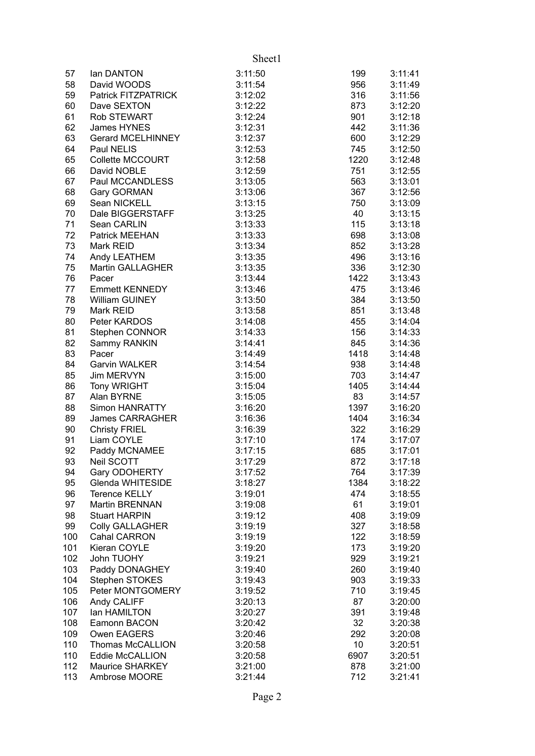|     |                         | Sheet1  |      |         |
|-----|-------------------------|---------|------|---------|
| 57  | lan DANTON              | 3:11:50 | 199  | 3:11:41 |
| 58  | David WOODS             | 3:11:54 | 956  | 3:11:49 |
| 59  | Patrick FITZPATRICK     | 3:12:02 | 316  | 3:11:56 |
| 60  | Dave SEXTON             | 3:12:22 | 873  | 3:12:20 |
| 61  | Rob STEWART             | 3:12:24 | 901  | 3:12:18 |
| 62  | James HYNES             | 3:12:31 | 442  | 3:11:36 |
| 63  | Gerard MCELHINNEY       | 3:12:37 | 600  | 3:12:29 |
| 64  | Paul NELIS              | 3:12:53 | 745  | 3:12:50 |
| 65  | Collette MCCOURT        | 3:12:58 | 1220 | 3:12:48 |
| 66  | David NOBLE             | 3:12:59 | 751  | 3:12:55 |
| 67  | Paul MCCANDLESS         | 3:13:05 | 563  | 3:13:01 |
| 68  | Gary GORMAN             | 3:13:06 | 367  | 3:12:56 |
| 69  | Sean NICKELL            | 3:13:15 | 750  | 3:13:09 |
| 70  | Dale BIGGERSTAFF        | 3:13:25 | 40   | 3:13:15 |
| 71  | Sean CARLIN             | 3:13:33 | 115  | 3:13:18 |
| 72  | Patrick MEEHAN          | 3:13:33 | 698  | 3:13:08 |
| 73  | Mark REID               | 3:13:34 | 852  | 3:13:28 |
| 74  | Andy LEATHEM            | 3:13:35 | 496  | 3:13:16 |
| 75  | <b>Martin GALLAGHER</b> | 3:13:35 | 336  | 3:12:30 |
| 76  | Pacer                   | 3:13:44 | 1422 | 3:13:43 |
| 77  | <b>Emmett KENNEDY</b>   | 3:13:46 | 475  | 3:13:46 |
| 78  | William GUINEY          | 3:13:50 | 384  | 3:13:50 |
| 79  | Mark REID               | 3:13:58 | 851  | 3:13:48 |
| 80  | Peter KARDOS            | 3:14:08 | 455  | 3:14:04 |
| 81  | Stephen CONNOR          | 3:14:33 | 156  | 3:14:33 |
| 82  | Sammy RANKIN            | 3:14:41 | 845  | 3:14:36 |
| 83  | Pacer                   | 3:14:49 | 1418 | 3:14:48 |
| 84  | <b>Garvin WALKER</b>    | 3:14:54 | 938  | 3:14:48 |
| 85  | Jim MERVYN              | 3:15:00 | 703  | 3:14:47 |
| 86  | <b>Tony WRIGHT</b>      | 3:15:04 | 1405 | 3:14:44 |
| 87  | Alan BYRNE              | 3:15:05 | 83   | 3:14:57 |
| 88  | Simon HANRATTY          | 3:16:20 | 1397 | 3:16:20 |
| 89  | <b>James CARRAGHER</b>  | 3:16:36 | 1404 | 3:16:34 |
| 90  | <b>Christy FRIEL</b>    | 3:16:39 | 322  | 3:16:29 |
| 91  | Liam COYLE              | 3:17:10 | 174  | 3:17:07 |
| 92  | Paddy MCNAMEE           | 3:17:15 | 685  | 3:17:01 |
| 93  | Neil SCOTT              | 3:17:29 | 872  | 3:17:18 |
| 94  | Gary ODOHERTY           | 3:17:52 | 764  | 3:17:39 |
| 95  | Glenda WHITESIDE        | 3:18:27 | 1384 | 3:18:22 |
| 96  | <b>Terence KELLY</b>    | 3:19:01 | 474  | 3:18:55 |
| 97  | <b>Martin BRENNAN</b>   | 3:19:08 | 61   | 3:19:01 |
| 98  | <b>Stuart HARPIN</b>    | 3:19:12 | 408  | 3:19:09 |
| 99  | <b>Colly GALLAGHER</b>  | 3:19:19 | 327  | 3:18:58 |
| 100 | Cahal CARRON            | 3:19:19 | 122  | 3:18:59 |
| 101 | Kieran COYLE            | 3:19:20 | 173  | 3:19:20 |
| 102 | John TUOHY              | 3:19:21 | 929  | 3:19:21 |
| 103 | Paddy DONAGHEY          | 3:19:40 | 260  | 3:19:40 |
| 104 | Stephen STOKES          | 3:19:43 | 903  | 3:19:33 |
| 105 | Peter MONTGOMERY        | 3:19:52 | 710  | 3:19:45 |
| 106 | Andy CALIFF             | 3:20:13 | 87   | 3:20:00 |
| 107 | lan HAMILTON            | 3:20:27 | 391  | 3:19:48 |
| 108 | Eamonn BACON            | 3:20:42 | 32   | 3:20:38 |
| 109 | Owen EAGERS             | 3:20:46 | 292  | 3:20:08 |
| 110 | Thomas McCALLION        | 3:20:58 | 10   | 3:20:51 |
| 110 | <b>Eddie McCALLION</b>  | 3:20:58 | 6907 | 3:20:51 |
| 112 | <b>Maurice SHARKEY</b>  | 3:21:00 | 878  | 3:21:00 |
| 113 | Ambrose MOORE           | 3:21:44 | 712  | 3:21:41 |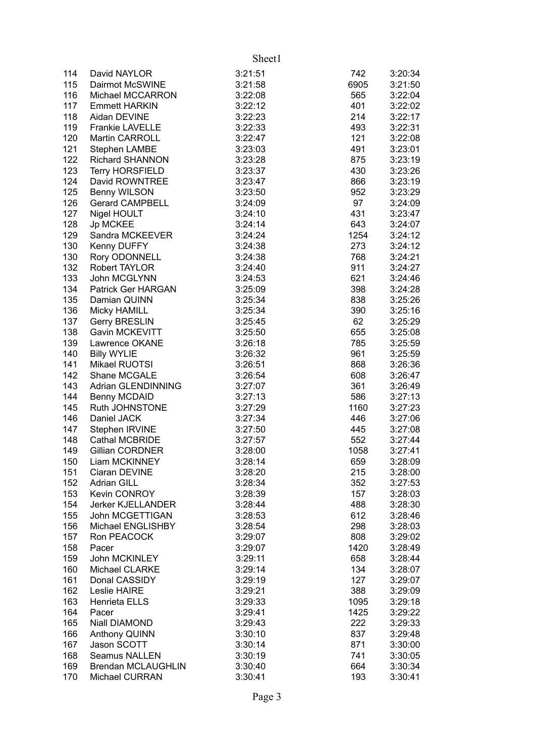|     |                           | Sheet1  |      |         |
|-----|---------------------------|---------|------|---------|
| 114 | David NAYLOR              | 3:21:51 | 742  | 3:20:34 |
| 115 | Dairmot McSWINE           | 3:21:58 | 6905 | 3:21:50 |
| 116 | Michael MCCARRON          | 3:22:08 | 565  | 3:22:04 |
| 117 | <b>Emmett HARKIN</b>      | 3:22:12 | 401  | 3:22:02 |
| 118 | Aidan DEVINE              | 3:22:23 | 214  | 3:22:17 |
| 119 | <b>Frankie LAVELLE</b>    | 3:22:33 | 493  | 3:22:31 |
| 120 | <b>Martin CARROLL</b>     | 3:22:47 | 121  | 3:22:08 |
| 121 | Stephen LAMBE             | 3:23:03 | 491  | 3:23:01 |
| 122 | <b>Richard SHANNON</b>    | 3:23:28 | 875  | 3:23:19 |
| 123 | <b>Terry HORSFIELD</b>    | 3:23:37 | 430  | 3:23:26 |
| 124 | David ROWNTREE            | 3:23:47 | 866  | 3:23:19 |
| 125 | Benny WILSON              | 3:23:50 | 952  | 3:23:29 |
| 126 | <b>Gerard CAMPBELL</b>    | 3:24:09 | 97   | 3:24:09 |
| 127 | Nigel HOULT               | 3:24:10 | 431  | 3:23:47 |
| 128 | Jp MCKEE                  | 3:24:14 | 643  | 3:24:07 |
| 129 | Sandra MCKEEVER           | 3:24:24 | 1254 | 3:24:12 |
| 130 | Kenny DUFFY               | 3:24:38 | 273  | 3:24:12 |
| 130 | Rory ODONNELL             | 3:24:38 | 768  | 3:24:21 |
| 132 | <b>Robert TAYLOR</b>      | 3:24:40 | 911  | 3:24:27 |
| 133 | John MCGLYNN              | 3:24:53 | 621  | 3:24:46 |
| 134 | Patrick Ger HARGAN        | 3:25:09 | 398  | 3:24:28 |
| 135 | Damian QUINN              | 3:25:34 | 838  | 3:25:26 |
| 136 | Micky HAMILL              | 3:25:34 | 390  | 3:25:16 |
| 137 | <b>Gerry BRESLIN</b>      | 3:25:45 | 62   | 3:25:29 |
| 138 | Gavin MCKEVITT            | 3:25:50 | 655  | 3:25:08 |
| 139 | Lawrence OKANE            | 3:26:18 | 785  | 3:25:59 |
| 140 | <b>Billy WYLIE</b>        | 3:26:32 | 961  | 3:25:59 |
| 141 | Mikael RUOTSI             | 3:26:51 | 868  | 3:26:36 |
| 142 | Shane MCGALE              | 3:26:54 | 608  | 3:26:47 |
| 143 | Adrian GLENDINNING        | 3:27:07 | 361  | 3:26:49 |
| 144 | <b>Benny MCDAID</b>       | 3:27:13 | 586  | 3:27:13 |
| 145 | Ruth JOHNSTONE            | 3:27:29 | 1160 | 3:27:23 |
| 146 | Daniel JACK               | 3:27:34 | 446  | 3:27:06 |
| 147 | Stephen IRVINE            | 3:27:50 | 445  | 3:27:08 |
| 148 | <b>Cathal MCBRIDE</b>     | 3:27:57 | 552  | 3:27:44 |
| 149 | <b>Gillian CORDNER</b>    | 3:28:00 | 1058 | 3:27:41 |
| 150 | Liam MCKINNEY             | 3:28:14 | 659  | 3:28:09 |
| 151 | Ciaran DEVINE             | 3:28:20 | 215  | 3:28:00 |
| 152 | <b>Adrian GILL</b>        | 3:28:34 | 352  | 3:27:53 |
| 153 | Kevin CONROY              | 3:28:39 | 157  | 3:28:03 |
| 154 | <b>Jerker KJELLANDER</b>  | 3:28:44 | 488  | 3:28:30 |
| 155 | John MCGETTIGAN           | 3:28:53 | 612  | 3:28:46 |
| 156 | Michael ENGLISHBY         | 3:28:54 | 298  | 3:28:03 |
| 157 | Ron PEACOCK               | 3:29:07 | 808  | 3:29:02 |
| 158 | Pacer                     | 3:29:07 | 1420 | 3:28:49 |
| 159 | John MCKINLEY             | 3:29:11 | 658  | 3:28:44 |
| 160 | Michael CLARKE            | 3:29:14 | 134  | 3:28:07 |
| 161 | Donal CASSIDY             | 3:29:19 | 127  | 3:29:07 |
| 162 | Leslie HAIRE              | 3:29:21 | 388  | 3:29:09 |
| 163 | Henrieta ELLS             | 3:29:33 | 1095 | 3:29:18 |
| 164 | Pacer                     | 3:29:41 | 1425 | 3:29:22 |
| 165 | Niall DIAMOND             | 3:29:43 | 222  | 3:29:33 |
| 166 | Anthony QUINN             | 3:30:10 | 837  | 3:29:48 |
| 167 | Jason SCOTT               | 3:30:14 | 871  | 3:30:00 |
| 168 | <b>Seamus NALLEN</b>      | 3:30:19 | 741  | 3:30:05 |
| 169 | <b>Brendan MCLAUGHLIN</b> | 3:30:40 | 664  | 3:30:34 |
| 170 | Michael CURRAN            | 3:30:41 | 193  | 3:30:41 |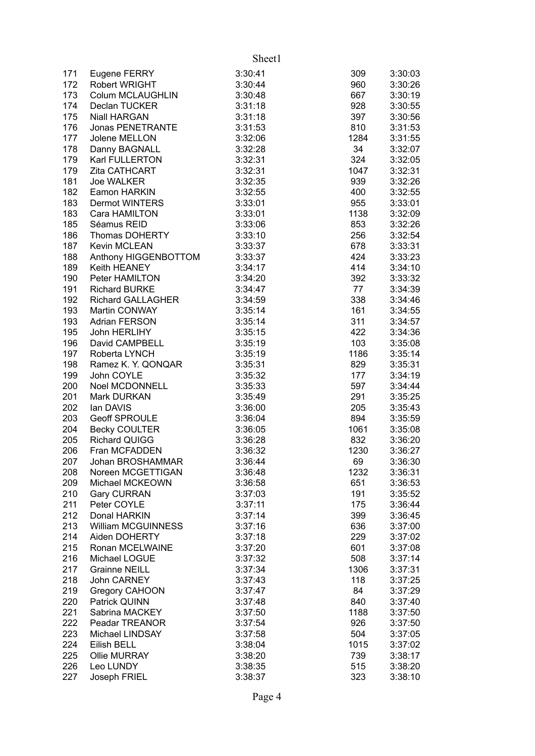|     |                           | Sheet1  |      |         |
|-----|---------------------------|---------|------|---------|
| 171 | Eugene FERRY              | 3:30:41 | 309  | 3:30:03 |
| 172 | <b>Robert WRIGHT</b>      | 3:30:44 | 960  | 3:30:26 |
| 173 | Colum MCLAUGHLIN          | 3:30:48 | 667  | 3:30:19 |
| 174 | Declan TUCKER             | 3:31:18 | 928  | 3:30:55 |
| 175 | <b>Niall HARGAN</b>       | 3:31:18 | 397  | 3:30:56 |
| 176 | Jonas PENETRANTE          | 3:31:53 | 810  | 3:31:53 |
| 177 | Jolene MELLON             | 3:32:06 | 1284 | 3:31:55 |
| 178 | Danny BAGNALL             | 3:32:28 | 34   | 3:32:07 |
| 179 | Karl FULLERTON            | 3:32:31 | 324  | 3:32:05 |
| 179 | Zita CATHCART             | 3:32:31 | 1047 | 3:32:31 |
| 181 | <b>Joe WALKER</b>         | 3:32:35 | 939  | 3:32:26 |
| 182 | Eamon HARKIN              | 3:32:55 | 400  | 3:32:55 |
| 183 | Dermot WINTERS            | 3:33:01 | 955  | 3:33:01 |
| 183 | Cara HAMILTON             | 3:33:01 | 1138 | 3:32:09 |
| 185 | Séamus REID               | 3:33:06 | 853  | 3:32:26 |
| 186 | Thomas DOHERTY            | 3:33:10 | 256  | 3:32:54 |
| 187 | Kevin MCLEAN              | 3:33:37 | 678  | 3:33:31 |
| 188 | Anthony HIGGENBOTTOM      | 3:33:37 | 424  | 3:33:23 |
| 189 | Keith HEANEY              | 3:34:17 | 414  | 3:34:10 |
| 190 | Peter HAMILTON            | 3:34:20 | 392  | 3:33:32 |
| 191 | Richard BURKE             | 3:34:47 | 77   | 3:34:39 |
| 192 | Richard GALLAGHER         | 3:34:59 | 338  | 3:34:46 |
| 193 | Martin CONWAY             | 3:35:14 | 161  | 3:34:55 |
| 193 | <b>Adrian FERSON</b>      | 3:35:14 | 311  | 3:34:57 |
| 195 | John HERLIHY              | 3:35:15 | 422  | 3:34:36 |
| 196 | David CAMPBELL            | 3:35:19 | 103  | 3:35:08 |
| 197 | Roberta LYNCH             | 3:35:19 | 1186 | 3:35:14 |
| 198 | Ramez K. Y. QONQAR        | 3:35:31 | 829  | 3:35:31 |
| 199 | John COYLE                | 3:35:32 | 177  | 3:34:19 |
| 200 | Noel MCDONNELL            | 3:35:33 | 597  | 3:34:44 |
| 201 | Mark DURKAN               | 3:35:49 | 291  | 3:35:25 |
| 202 | lan DAVIS                 | 3:36:00 | 205  | 3:35:43 |
| 203 | <b>Geoff SPROULE</b>      | 3:36:04 | 894  | 3:35:59 |
| 204 | <b>Becky COULTER</b>      | 3:36:05 | 1061 | 3:35:08 |
| 205 | <b>Richard QUIGG</b>      | 3:36:28 | 832  | 3:36:20 |
| 206 | Fran MCFADDEN             | 3:36:32 | 1230 | 3:36:27 |
| 207 | Johan BROSHAMMAR          | 3:36:44 | 69   | 3:36:30 |
| 208 | Noreen MCGETTIGAN         | 3:36:48 | 1232 | 3:36:31 |
| 209 | Michael MCKEOWN           | 3:36:58 | 651  | 3:36:53 |
| 210 | <b>Gary CURRAN</b>        | 3:37:03 | 191  | 3:35:52 |
| 211 | Peter COYLE               | 3:37:11 | 175  | 3:36:44 |
| 212 | Donal HARKIN              | 3:37:14 | 399  | 3:36:45 |
| 213 | <b>William MCGUINNESS</b> | 3:37:16 | 636  | 3:37:00 |
| 214 | Aiden DOHERTY             | 3:37:18 | 229  | 3:37:02 |
| 215 | Ronan MCELWAINE           | 3:37:20 | 601  | 3:37:08 |
| 216 | Michael LOGUE             | 3:37:32 | 508  | 3:37:14 |
| 217 | <b>Grainne NEILL</b>      | 3:37:34 | 1306 | 3:37:31 |
| 218 | John CARNEY               | 3:37:43 | 118  | 3:37:25 |
| 219 | <b>Gregory CAHOON</b>     | 3:37:47 | 84   | 3:37:29 |
| 220 | Patrick QUINN             | 3:37:48 | 840  | 3:37:40 |
| 221 | Sabrina MACKEY            | 3:37:50 | 1188 | 3:37:50 |
| 222 | Peadar TREANOR            | 3:37:54 | 926  | 3:37:50 |
| 223 | <b>Michael LINDSAY</b>    | 3:37:58 | 504  | 3:37:05 |
| 224 | Eilish BELL               | 3:38:04 | 1015 | 3:37:02 |
| 225 | <b>Ollie MURRAY</b>       | 3:38:20 | 739  | 3:38:17 |
| 226 | Leo LUNDY                 | 3:38:35 | 515  | 3:38:20 |
| 227 | Joseph FRIEL              | 3:38:37 | 323  | 3:38:10 |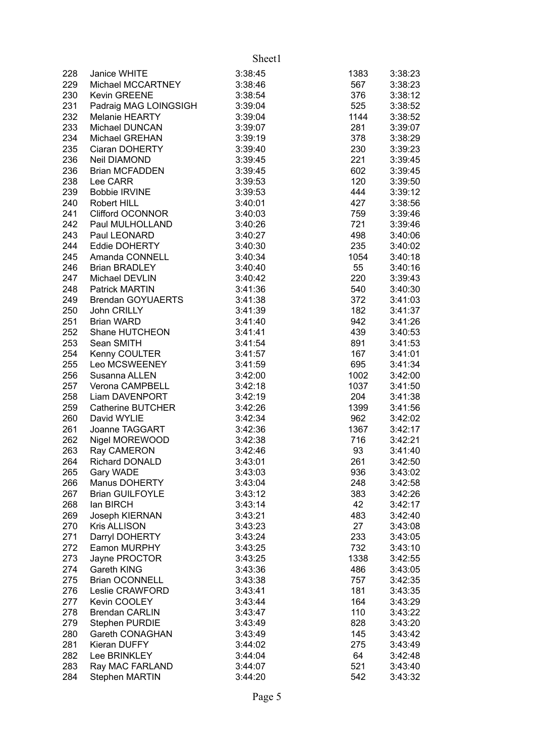|     |                          | Sheet1  |      |         |
|-----|--------------------------|---------|------|---------|
| 228 | Janice WHITE             | 3:38:45 | 1383 | 3:38:23 |
| 229 | Michael MCCARTNEY        | 3:38:46 | 567  | 3:38:23 |
| 230 | Kevin GREENE             | 3:38:54 | 376  | 3:38:12 |
| 231 | Padraig MAG LOINGSIGH    | 3:39:04 | 525  | 3:38:52 |
| 232 | Melanie HEARTY           | 3:39:04 | 1144 | 3:38:52 |
| 233 | Michael DUNCAN           | 3:39:07 | 281  | 3:39:07 |
| 234 | Michael GREHAN           | 3:39:19 | 378  | 3:38:29 |
| 235 | Ciaran DOHERTY           | 3:39:40 | 230  | 3:39:23 |
| 236 | Neil DIAMOND             | 3:39:45 | 221  | 3:39:45 |
| 236 | <b>Brian MCFADDEN</b>    | 3:39:45 | 602  | 3:39:45 |
| 238 | Lee CARR                 | 3:39:53 | 120  | 3:39:50 |
| 239 | <b>Bobbie IRVINE</b>     | 3:39:53 | 444  | 3:39:12 |
| 240 | Robert HILL              | 3:40:01 | 427  | 3:38:56 |
| 241 | <b>Clifford OCONNOR</b>  | 3:40:03 | 759  | 3:39:46 |
| 242 | Paul MULHOLLAND          | 3:40:26 | 721  | 3:39:46 |
| 243 | Paul LEONARD             | 3:40:27 | 498  | 3:40:06 |
| 244 | <b>Eddie DOHERTY</b>     | 3:40:30 | 235  | 3:40:02 |
| 245 | Amanda CONNELL           | 3:40:34 | 1054 | 3:40:18 |
| 246 | <b>Brian BRADLEY</b>     | 3:40:40 | 55   | 3:40:16 |
| 247 | Michael DEVLIN           | 3:40:42 | 220  | 3:39:43 |
| 248 | <b>Patrick MARTIN</b>    | 3:41:36 | 540  | 3:40:30 |
| 249 | <b>Brendan GOYUAERTS</b> | 3:41:38 | 372  | 3:41:03 |
| 250 | John CRILLY              | 3:41:39 | 182  | 3:41:37 |
| 251 | <b>Brian WARD</b>        | 3:41:40 | 942  | 3:41:26 |
| 252 | Shane HUTCHEON           | 3:41:41 | 439  | 3:40:53 |
| 253 | Sean SMITH               | 3:41:54 | 891  | 3:41:53 |
| 254 | Kenny COULTER            | 3:41:57 | 167  | 3:41:01 |
| 255 | Leo MCSWEENEY            | 3:41:59 | 695  | 3:41:34 |
| 256 | Susanna ALLEN            | 3:42:00 | 1002 | 3:42:00 |
| 257 | Verona CAMPBELL          | 3:42:18 | 1037 | 3:41:50 |
| 258 | Liam DAVENPORT           | 3:42:19 | 204  | 3:41:38 |
| 259 | <b>Catherine BUTCHER</b> | 3:42:26 | 1399 | 3:41:56 |
| 260 | David WYLIE              | 3:42:34 | 962  | 3:42:02 |
| 261 | Joanne TAGGART           | 3:42:36 | 1367 | 3:42:17 |
| 262 | Nigel MOREWOOD           | 3:42:38 | 716  | 3:42:21 |
| 263 | Ray CAMERON              | 3:42:46 | 93   | 3:41:40 |
| 264 | Richard DONALD           | 3:43:01 | 261  | 3:42:50 |
| 265 | Gary WADE                | 3:43:03 | 936  | 3:43:02 |
| 266 | Manus DOHERTY            | 3:43:04 | 248  | 3:42:58 |
| 267 | <b>Brian GUILFOYLE</b>   | 3:43:12 | 383  | 3:42:26 |
| 268 | lan BIRCH                | 3:43:14 | 42   | 3:42:17 |
| 269 | Joseph KIERNAN           | 3:43:21 | 483  | 3:42:40 |
| 270 | Kris ALLISON             | 3:43:23 | 27   | 3:43:08 |
| 271 | Darryl DOHERTY           | 3:43:24 | 233  | 3:43:05 |
| 272 | Eamon MURPHY             | 3:43:25 | 732  | 3:43:10 |
| 273 | Jayne PROCTOR            | 3:43:25 | 1338 | 3:42:55 |
| 274 | Gareth KING              | 3:43:36 | 486  | 3:43:05 |
| 275 | <b>Brian OCONNELL</b>    | 3:43:38 | 757  | 3:42:35 |
| 276 | Leslie CRAWFORD          | 3:43:41 | 181  | 3:43:35 |
| 277 | Kevin COOLEY             | 3:43:44 | 164  | 3:43:29 |
| 278 | <b>Brendan CARLIN</b>    | 3:43:47 | 110  | 3:43:22 |
| 279 | <b>Stephen PURDIE</b>    | 3:43:49 | 828  | 3:43:20 |
| 280 | <b>Gareth CONAGHAN</b>   | 3:43:49 | 145  | 3:43:42 |
| 281 | Kieran DUFFY             | 3:44:02 | 275  | 3:43:49 |
| 282 | Lee BRINKLEY             | 3:44:04 | 64   | 3:42:48 |
| 283 | Ray MAC FARLAND          | 3:44:07 | 521  | 3:43:40 |
| 284 | <b>Stephen MARTIN</b>    | 3:44:20 | 542  | 3:43:32 |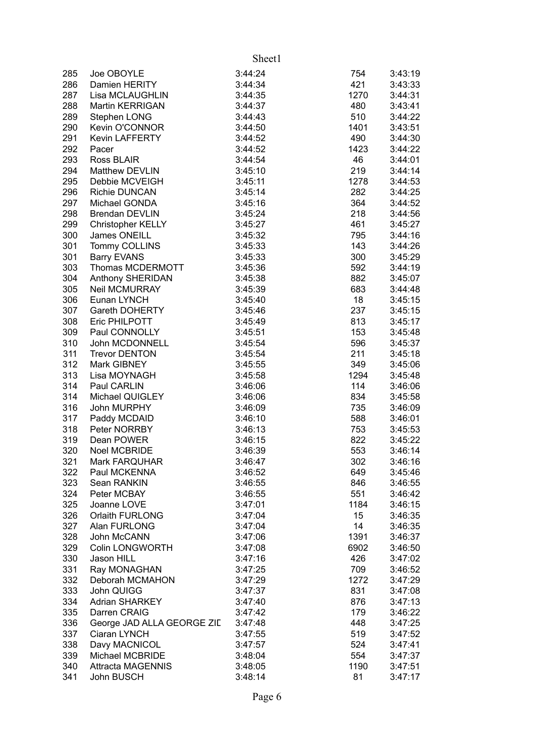|     |                            | Sheet1  |      |         |
|-----|----------------------------|---------|------|---------|
| 285 | Joe OBOYLE                 | 3:44:24 | 754  | 3:43:19 |
| 286 | Damien HERITY              | 3:44:34 | 421  | 3:43:33 |
| 287 | Lisa MCLAUGHLIN            | 3:44:35 | 1270 | 3:44:31 |
| 288 | <b>Martin KERRIGAN</b>     | 3:44:37 | 480  | 3:43:41 |
| 289 | Stephen LONG               | 3:44:43 | 510  | 3:44:22 |
| 290 | Kevin O'CONNOR             | 3:44:50 | 1401 | 3:43:51 |
| 291 | Kevin LAFFERTY             | 3:44:52 | 490  | 3:44:30 |
| 292 | Pacer                      | 3:44:52 | 1423 | 3:44:22 |
| 293 | Ross BLAIR                 | 3:44:54 | 46   | 3:44:01 |
| 294 | Matthew DEVLIN             | 3:45:10 | 219  | 3:44:14 |
| 295 | Debbie MCVEIGH             | 3:45:11 | 1278 | 3:44:53 |
| 296 | <b>Richie DUNCAN</b>       | 3:45:14 | 282  | 3:44:25 |
| 297 | Michael GONDA              | 3:45:16 | 364  | 3:44:52 |
| 298 | <b>Brendan DEVLIN</b>      | 3:45:24 | 218  | 3:44:56 |
| 299 | Christopher KELLY          | 3:45:27 | 461  | 3:45:27 |
| 300 | James ONEILL               | 3:45:32 | 795  | 3:44:16 |
| 301 | Tommy COLLINS              | 3:45:33 | 143  | 3:44:26 |
| 301 | <b>Barry EVANS</b>         | 3:45:33 | 300  | 3:45:29 |
| 303 | Thomas MCDERMOTT           | 3:45:36 | 592  | 3:44:19 |
| 304 | Anthony SHERIDAN           | 3:45:38 | 882  | 3:45:07 |
| 305 | Neil MCMURRAY              | 3:45:39 | 683  | 3:44:48 |
| 306 | Eunan LYNCH                | 3:45:40 | 18   | 3:45:15 |
| 307 | Gareth DOHERTY             | 3:45:46 | 237  | 3:45:15 |
| 308 | Eric PHILPOTT              | 3:45:49 | 813  | 3:45:17 |
| 309 | Paul CONNOLLY              | 3:45:51 | 153  | 3:45:48 |
| 310 | John MCDONNELL             | 3:45:54 | 596  | 3:45:37 |
| 311 | <b>Trevor DENTON</b>       | 3:45:54 | 211  | 3:45:18 |
| 312 | Mark GIBNEY                | 3:45:55 | 349  | 3:45:06 |
| 313 | Lisa MOYNAGH               | 3:45:58 | 1294 | 3:45:48 |
| 314 | Paul CARLIN                | 3:46:06 | 114  | 3:46:06 |
| 314 | Michael QUIGLEY            | 3:46:06 | 834  | 3:45:58 |
| 316 | John MURPHY                | 3:46:09 | 735  | 3:46:09 |
| 317 | Paddy MCDAID               | 3:46:10 | 588  | 3:46:01 |
| 318 | Peter NORRBY               | 3:46:13 | 753  | 3:45:53 |
| 319 | Dean POWER                 | 3:46:15 | 822  | 3:45:22 |
| 320 | <b>Noel MCBRIDE</b>        | 3:46:39 | 553  | 3:46:14 |
| 321 | <b>Mark FARQUHAR</b>       | 3:46:47 | 302  | 3:46:16 |
| 322 | Paul MCKENNA               | 3:46:52 | 649  | 3:45:46 |
| 323 | Sean RANKIN                | 3:46:55 | 846  | 3:46:55 |
| 324 | Peter MCBAY                | 3:46:55 | 551  | 3:46:42 |
| 325 | Joanne LOVE                | 3:47:01 | 1184 | 3:46:15 |
| 326 | Orlaith FURLONG            | 3:47:04 | 15   | 3:46:35 |
| 327 | Alan FURLONG               | 3:47:04 | 14   | 3:46:35 |
| 328 | John McCANN                | 3:47:06 | 1391 | 3:46:37 |
| 329 | <b>Colin LONGWORTH</b>     | 3:47:08 | 6902 | 3:46:50 |
| 330 | Jason HILL                 | 3:47:16 | 426  | 3:47:02 |
| 331 | Ray MONAGHAN               | 3:47:25 | 709  | 3:46:52 |
| 332 | Deborah MCMAHON            | 3:47:29 | 1272 | 3:47:29 |
| 333 | John QUIGG                 | 3:47:37 | 831  | 3:47:08 |
| 334 | <b>Adrian SHARKEY</b>      | 3:47:40 | 876  | 3:47:13 |
| 335 | Darren CRAIG               | 3:47:42 | 179  | 3:46:22 |
| 336 | George JAD ALLA GEORGE ZID | 3:47:48 | 448  | 3:47:25 |
| 337 | Ciaran LYNCH               | 3:47:55 | 519  | 3:47:52 |
| 338 | Davy MACNICOL              | 3:47:57 | 524  | 3:47:41 |
| 339 | Michael MCBRIDE            | 3:48:04 | 554  | 3:47:37 |
| 340 | <b>Attracta MAGENNIS</b>   | 3:48:05 | 1190 | 3:47:51 |
| 341 | John BUSCH                 | 3:48:14 | 81   | 3:47:17 |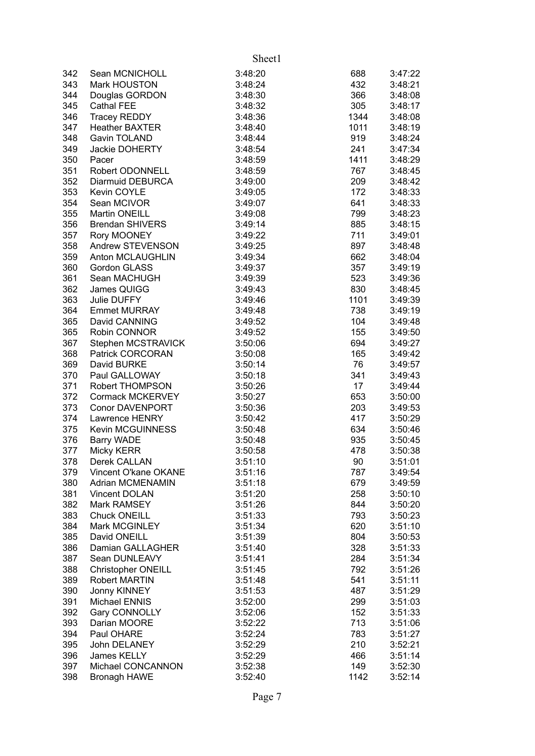|     |                         | Sheet1  |      |         |
|-----|-------------------------|---------|------|---------|
| 342 | Sean MCNICHOLL          | 3:48:20 | 688  | 3:47:22 |
| 343 | Mark HOUSTON            | 3:48:24 | 432  | 3:48:21 |
| 344 | Douglas GORDON          | 3:48:30 | 366  | 3:48:08 |
| 345 | Cathal FEE              | 3:48:32 | 305  | 3:48:17 |
| 346 | <b>Tracey REDDY</b>     | 3:48:36 | 1344 | 3:48:08 |
| 347 | <b>Heather BAXTER</b>   | 3:48:40 | 1011 | 3:48:19 |
| 348 | Gavin TOLAND            | 3:48:44 | 919  | 3:48:24 |
| 349 | Jackie DOHERTY          | 3:48:54 | 241  | 3:47:34 |
| 350 | Pacer                   | 3:48:59 | 1411 | 3:48:29 |
| 351 | Robert ODONNELL         | 3:48:59 | 767  | 3:48:45 |
| 352 | Diarmuid DEBURCA        | 3:49:00 | 209  | 3:48:42 |
| 353 | Kevin COYLE             | 3:49:05 | 172  | 3:48:33 |
| 354 | Sean MCIVOR             | 3:49:07 | 641  | 3:48:33 |
| 355 | Martin ONEILL           | 3:49:08 | 799  | 3:48:23 |
| 356 | <b>Brendan SHIVERS</b>  | 3:49:14 | 885  | 3:48:15 |
| 357 | Rory MOONEY             | 3:49:22 | 711  | 3:49:01 |
| 358 | Andrew STEVENSON        | 3:49:25 | 897  | 3:48:48 |
| 359 | Anton MCLAUGHLIN        | 3:49:34 | 662  | 3:48:04 |
| 360 | <b>Gordon GLASS</b>     | 3:49:37 | 357  | 3:49:19 |
| 361 | Sean MACHUGH            | 3:49:39 | 523  | 3:49:36 |
| 362 | James QUIGG             | 3:49:43 | 830  | 3:48:45 |
| 363 | Julie DUFFY             | 3:49:46 | 1101 | 3:49:39 |
| 364 | <b>Emmet MURRAY</b>     | 3:49:48 | 738  | 3:49:19 |
| 365 | David CANNING           | 3:49:52 | 104  | 3:49:48 |
| 365 | Robin CONNOR            | 3:49:52 | 155  | 3:49:50 |
| 367 | Stephen MCSTRAVICK      | 3:50:06 | 694  | 3:49:27 |
| 368 | Patrick CORCORAN        | 3:50:08 | 165  | 3:49:42 |
| 369 | David BURKE             | 3:50:14 | 76   | 3:49:57 |
| 370 | Paul GALLOWAY           | 3:50:18 | 341  | 3:49:43 |
| 371 | Robert THOMPSON         | 3:50:26 | 17   | 3:49:44 |
| 372 | Cormack MCKERVEY        | 3:50:27 | 653  | 3:50:00 |
| 373 | <b>Conor DAVENPORT</b>  | 3:50:36 | 203  | 3:49:53 |
| 374 | Lawrence HENRY          | 3:50:42 | 417  | 3:50:29 |
| 375 | Kevin MCGUINNESS        | 3:50:48 | 634  | 3:50:46 |
| 376 | Barry WADE              | 3:50:48 | 935  | 3:50:45 |
| 377 | <b>Micky KERR</b>       | 3:50:58 | 478  | 3:50:38 |
| 378 | Derek CALLAN            | 3:51:10 | 90   | 3:51:01 |
| 379 | Vincent O'kane OKANE    | 3:51:16 | 787  | 3:49:54 |
| 380 | <b>Adrian MCMENAMIN</b> | 3:51:18 | 679  | 3:49:59 |
| 381 | <b>Vincent DOLAN</b>    | 3:51:20 | 258  | 3:50:10 |
| 382 | Mark RAMSEY             | 3:51:26 | 844  | 3:50:20 |
| 383 | <b>Chuck ONEILL</b>     | 3:51:33 | 793  | 3:50:23 |
| 384 | Mark MCGINLEY           | 3:51:34 | 620  | 3:51:10 |
| 385 | David ONEILL            | 3:51:39 | 804  | 3:50:53 |
| 386 | Damian GALLAGHER        | 3:51:40 | 328  | 3:51:33 |
| 387 | Sean DUNLEAVY           | 3:51:41 | 284  | 3:51:34 |
| 388 | Christopher ONEILL      | 3:51:45 | 792  | 3:51:26 |
| 389 | <b>Robert MARTIN</b>    | 3:51:48 | 541  | 3:51:11 |
| 390 | Jonny KINNEY            | 3:51:53 | 487  | 3:51:29 |
| 391 | Michael ENNIS           | 3:52:00 | 299  | 3:51:03 |
| 392 | Gary CONNOLLY           | 3:52:06 | 152  | 3:51:33 |
| 393 | Darian MOORE            | 3:52:22 | 713  | 3:51:06 |
| 394 | Paul OHARE              | 3:52:24 | 783  | 3:51:27 |
| 395 | John DELANEY            | 3:52:29 | 210  | 3:52:21 |
| 396 | James KELLY             | 3:52:29 | 466  | 3:51:14 |
| 397 | Michael CONCANNON       | 3:52:38 | 149  | 3:52:30 |
| 398 | <b>Bronagh HAWE</b>     | 3:52:40 | 1142 | 3:52:14 |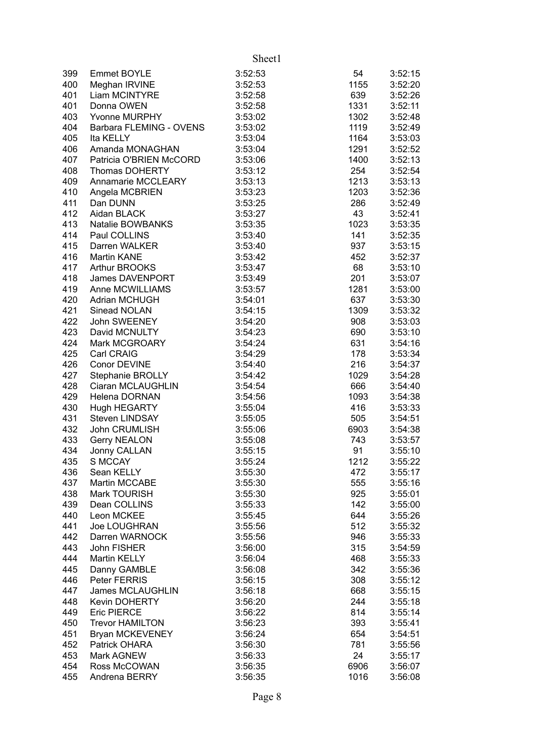Sheet1

| 399 | Emmet BOYLE             | 3:52:53 | 54   | 3:52:15 |
|-----|-------------------------|---------|------|---------|
| 400 | Meghan IRVINE           | 3:52:53 | 1155 | 3:52:20 |
| 401 | Liam MCINTYRE           | 3:52:58 | 639  | 3:52:26 |
| 401 | Donna OWEN              | 3:52:58 | 1331 | 3:52:11 |
| 403 | Yvonne MURPHY           | 3:53:02 | 1302 | 3:52:48 |
| 404 | Barbara FLEMING - OVENS | 3:53:02 | 1119 | 3:52:49 |
| 405 | Ita KELLY               | 3:53:04 | 1164 | 3:53:03 |
|     |                         |         |      |         |
| 406 | Amanda MONAGHAN         | 3:53:04 | 1291 | 3:52:52 |
| 407 | Patricia O'BRIEN McCORD | 3:53:06 | 1400 | 3:52:13 |
| 408 | Thomas DOHERTY          | 3:53:12 | 254  | 3:52:54 |
| 409 | Annamarie MCCLEARY      | 3:53:13 | 1213 | 3:53:13 |
| 410 | Angela MCBRIEN          | 3:53:23 | 1203 | 3:52:36 |
| 411 | Dan DUNN                | 3:53:25 | 286  | 3:52:49 |
| 412 | Aidan BLACK             | 3:53:27 | 43   | 3:52:41 |
| 413 | Natalie BOWBANKS        | 3:53:35 | 1023 | 3:53:35 |
| 414 | Paul COLLINS            | 3:53:40 | 141  | 3:52:35 |
|     |                         |         |      |         |
| 415 | Darren WALKER           | 3:53:40 | 937  | 3:53:15 |
| 416 | Martin KANE             | 3:53:42 | 452  | 3:52:37 |
| 417 | <b>Arthur BROOKS</b>    | 3:53:47 | 68   | 3:53:10 |
| 418 | James DAVENPORT         | 3:53:49 | 201  | 3:53:07 |
| 419 | Anne MCWILLIAMS         | 3:53:57 | 1281 | 3:53:00 |
| 420 | <b>Adrian MCHUGH</b>    | 3:54:01 | 637  | 3:53:30 |
| 421 | Sinead NOLAN            | 3:54:15 | 1309 | 3:53:32 |
| 422 | John SWEENEY            | 3:54:20 | 908  | 3:53:03 |
| 423 | David MCNULTY           | 3:54:23 | 690  | 3:53:10 |
| 424 | Mark MCGROARY           | 3:54:24 | 631  |         |
|     |                         |         |      | 3:54:16 |
| 425 | Carl CRAIG              | 3:54:29 | 178  | 3:53:34 |
| 426 | Conor DEVINE            | 3:54:40 | 216  | 3:54:37 |
| 427 | Stephanie BROLLY        | 3:54:42 | 1029 | 3:54:28 |
| 428 | Ciaran MCLAUGHLIN       | 3:54:54 | 666  | 3:54:40 |
| 429 | Helena DORNAN           | 3:54:56 | 1093 | 3:54:38 |
| 430 | <b>Hugh HEGARTY</b>     | 3:55:04 | 416  | 3:53:33 |
| 431 | <b>Steven LINDSAY</b>   | 3:55:05 | 505  | 3:54:51 |
| 432 | John CRUMLISH           | 3:55:06 | 6903 | 3:54:38 |
| 433 | <b>Gerry NEALON</b>     | 3:55:08 | 743  | 3:53:57 |
| 434 | Jonny CALLAN            | 3:55:15 | 91   | 3:55:10 |
| 435 | <b>S MCCAY</b>          | 3:55:24 | 1212 | 3:55:22 |
|     |                         |         |      |         |
| 436 | Sean KELLY              | 3:55:30 | 472  | 3:55:17 |
| 437 | Martin MCCABE           | 3:55:30 | 555  | 3:55:16 |
| 438 | Mark TOURISH            | 3:55:30 | 925  | 3:55:01 |
| 439 | Dean COLLINS            | 3:55:33 | 142  | 3:55:00 |
| 440 | Leon MCKEE              | 3:55:45 | 644  | 3:55:26 |
| 441 | Joe LOUGHRAN            | 3:55:56 | 512  | 3:55:32 |
| 442 | Darren WARNOCK          | 3:55:56 | 946  | 3:55:33 |
| 443 | John FISHER             | 3:56:00 | 315  | 3:54:59 |
| 444 | Martin KELLY            | 3:56:04 | 468  | 3:55:33 |
| 445 | Danny GAMBLE            | 3:56:08 | 342  | 3:55:36 |
|     |                         |         |      |         |
| 446 | Peter FERRIS            | 3:56:15 | 308  | 3:55:12 |
| 447 | <b>James MCLAUGHLIN</b> | 3:56:18 | 668  | 3:55:15 |
| 448 | <b>Kevin DOHERTY</b>    | 3:56:20 | 244  | 3:55:18 |
| 449 | <b>Eric PIERCE</b>      | 3:56:22 | 814  | 3:55:14 |
| 450 | <b>Trevor HAMILTON</b>  | 3:56:23 | 393  | 3:55:41 |
| 451 | <b>Bryan MCKEVENEY</b>  | 3:56:24 | 654  | 3:54:51 |
| 452 | Patrick OHARA           | 3:56:30 | 781  | 3:55:56 |
| 453 | Mark AGNEW              | 3:56:33 | 24   | 3:55:17 |
| 454 | Ross McCOWAN            | 3:56:35 | 6906 | 3:56:07 |
|     |                         |         |      |         |
| 455 | Andrena BERRY           | 3:56:35 | 1016 | 3:56:08 |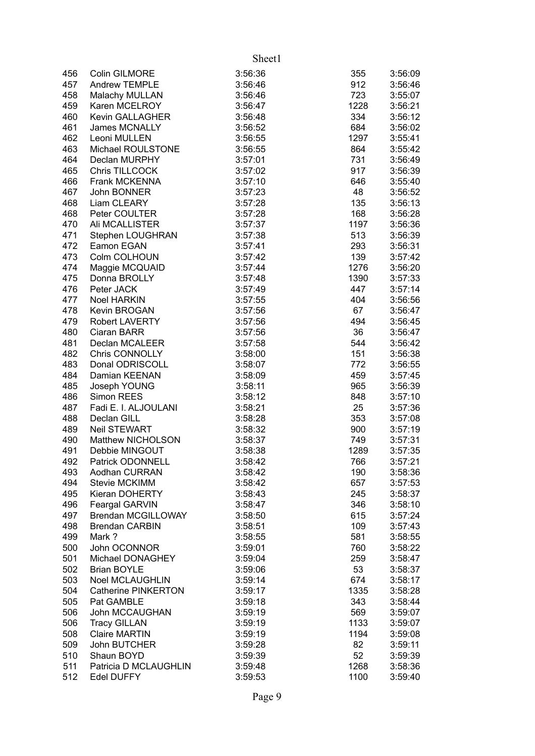|     |                            | Sheet1  |      |         |
|-----|----------------------------|---------|------|---------|
| 456 | Colin GILMORE              | 3:56:36 | 355  | 3:56:09 |
| 457 | Andrew TEMPLE              | 3:56:46 | 912  | 3:56:46 |
| 458 | Malachy MULLAN             | 3:56:46 | 723  | 3:55:07 |
| 459 | Karen MCELROY              | 3:56:47 | 1228 | 3:56:21 |
| 460 | Kevin GALLAGHER            | 3:56:48 | 334  | 3:56:12 |
| 461 | <b>James MCNALLY</b>       | 3:56:52 | 684  | 3:56:02 |
| 462 | Leoni MULLEN               | 3:56:55 | 1297 | 3:55:41 |
| 463 | Michael ROULSTONE          | 3:56:55 | 864  | 3:55:42 |
| 464 | Declan MURPHY              | 3:57:01 | 731  | 3:56:49 |
| 465 | Chris TILLCOCK             | 3:57:02 | 917  | 3:56:39 |
| 466 | Frank MCKENNA              | 3:57:10 | 646  | 3:55:40 |
| 467 | John BONNER                | 3:57:23 | 48   | 3:56:52 |
| 468 | Liam CLEARY                | 3:57:28 | 135  | 3:56:13 |
| 468 | Peter COULTER              | 3:57:28 | 168  | 3:56:28 |
| 470 | Ali MCALLISTER             | 3:57:37 | 1197 | 3:56:36 |
| 471 | Stephen LOUGHRAN           | 3:57:38 | 513  | 3:56:39 |
| 472 | Eamon EGAN                 | 3:57:41 | 293  | 3:56:31 |
| 473 | Colm COLHOUN               | 3:57:42 | 139  | 3:57:42 |
| 474 | Maggie MCQUAID             | 3:57:44 | 1276 | 3:56:20 |
| 475 | Donna BROLLY               | 3:57:48 | 1390 | 3:57:33 |
| 476 | Peter JACK                 | 3:57:49 | 447  | 3:57:14 |
| 477 | <b>Noel HARKIN</b>         | 3:57:55 | 404  | 3:56:56 |
| 478 | Kevin BROGAN               | 3:57:56 | 67   | 3:56:47 |
| 479 | Robert LAVERTY             | 3:57:56 | 494  | 3:56:45 |
| 480 | Ciaran BARR                | 3:57:56 | 36   | 3:56:47 |
| 481 | Declan MCALEER             | 3:57:58 | 544  | 3:56:42 |
| 482 | Chris CONNOLLY             | 3:58:00 | 151  | 3:56:38 |
| 483 | Donal ODRISCOLL            | 3:58:07 | 772  | 3:56:55 |
| 484 | Damian KEENAN              | 3:58:09 | 459  | 3:57:45 |
| 485 | Joseph YOUNG               | 3:58:11 | 965  | 3:56:39 |
| 486 | Simon REES                 | 3:58:12 | 848  | 3:57:10 |
| 487 | Fadi E. I. ALJOULANI       | 3:58:21 | 25   | 3:57:36 |
| 488 | Declan GILL                | 3:58:28 | 353  | 3:57:08 |
| 489 | <b>Neil STEWART</b>        | 3:58:32 | 900  | 3:57:19 |
| 490 | Matthew NICHOLSON          | 3:58:37 | 749  | 3:57:31 |
| 491 | Debbie MINGOUT             | 3:58:38 | 1289 | 3:57:35 |
| 492 | Patrick ODONNELL           | 3:58:42 | 766  | 3:57:21 |
| 493 | Aodhan CURRAN              | 3:58:42 | 190  | 3:58:36 |
| 494 | <b>Stevie MCKIMM</b>       | 3:58:42 | 657  | 3:57:53 |
| 495 | Kieran DOHERTY             | 3:58:43 | 245  | 3:58:37 |
| 496 | Feargal GARVIN             | 3:58:47 | 346  | 3:58:10 |
| 497 | <b>Brendan MCGILLOWAY</b>  | 3:58:50 | 615  | 3:57:24 |
| 498 | <b>Brendan CARBIN</b>      | 3:58:51 | 109  | 3:57:43 |
| 499 | Mark?                      | 3:58:55 | 581  | 3:58:55 |
| 500 | John OCONNOR               | 3:59:01 | 760  | 3:58:22 |
| 501 | Michael DONAGHEY           | 3:59:04 | 259  | 3:58:47 |
| 502 | <b>Brian BOYLE</b>         | 3:59:06 | 53   | 3:58:37 |
| 503 | <b>Noel MCLAUGHLIN</b>     | 3:59:14 | 674  | 3:58:17 |
| 504 | <b>Catherine PINKERTON</b> | 3:59:17 | 1335 | 3:58:28 |
| 505 | Pat GAMBLE                 | 3:59:18 | 343  | 3:58:44 |
| 506 | John MCCAUGHAN             | 3:59:19 | 569  | 3:59:07 |
| 506 | <b>Tracy GILLAN</b>        | 3:59:19 | 1133 | 3:59:07 |
| 508 | <b>Claire MARTIN</b>       | 3:59:19 | 1194 | 3:59:08 |
| 509 | John BUTCHER               | 3:59:28 | 82   | 3:59:11 |
| 510 | Shaun BOYD                 | 3:59:39 | 52   | 3:59:39 |
| 511 | Patricia D MCLAUGHLIN      | 3:59:48 | 1268 | 3:58:36 |
| 512 | <b>Edel DUFFY</b>          | 3:59:53 | 1100 | 3:59:40 |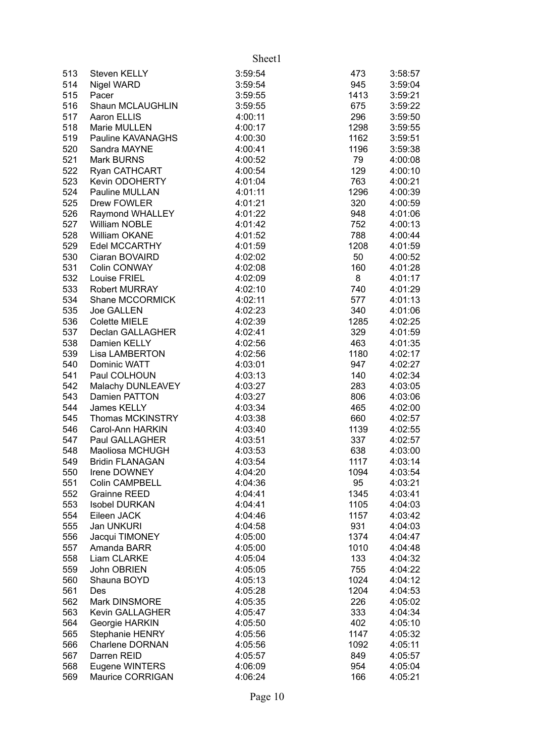|            |                                      | Sheet1             |             |                    |
|------------|--------------------------------------|--------------------|-------------|--------------------|
| 513        | Steven KELLY                         | 3:59:54            | 473         | 3:58:57            |
| 514        | Nigel WARD                           | 3:59:54            | 945         | 3:59:04            |
| 515        | Pacer                                | 3:59:55            | 1413        | 3:59:21            |
| 516        | Shaun MCLAUGHLIN                     | 3:59:55            | 675         | 3:59:22            |
| 517        | Aaron ELLIS                          | 4:00:11            | 296         | 3:59:50            |
| 518        | Marie MULLEN                         | 4:00:17            | 1298        | 3:59:55            |
| 519        | Pauline KAVANAGHS                    | 4:00:30            | 1162        | 3:59:51            |
| 520        | Sandra MAYNE                         | 4:00:41            | 1196        | 3:59:38            |
| 521        | <b>Mark BURNS</b>                    | 4:00:52            | 79          | 4:00:08            |
| 522        | Ryan CATHCART                        | 4:00:54            | 129         | 4:00:10            |
| 523        | Kevin ODOHERTY                       | 4:01:04            | 763         | 4:00:21            |
| 524        | Pauline MULLAN                       | 4:01:11            | 1296        | 4:00:39            |
| 525        | Drew FOWLER                          | 4:01:21            | 320         | 4:00:59            |
| 526        | Raymond WHALLEY                      | 4:01:22            | 948         | 4:01:06            |
| 527        | William NOBLE                        | 4:01:42            | 752         | 4:00:13            |
| 528        | William OKANE                        | 4:01:52            | 788         | 4:00:44            |
| 529        | Edel MCCARTHY                        | 4:01:59            | 1208        | 4:01:59            |
| 530        | Ciaran BOVAIRD                       | 4:02:02            | 50          | 4:00:52            |
| 531        | Colin CONWAY                         | 4:02:08            | 160         | 4:01:28            |
| 532        | Louise FRIEL                         | 4:02:09            | 8           | 4:01:17            |
| 533        | <b>Robert MURRAY</b>                 | 4:02:10            | 740         | 4:01:29            |
| 534        | Shane MCCORMICK                      | 4:02:11            | 577         | 4:01:13            |
| 535        | Joe GALLEN                           | 4:02:23            | 340         | 4:01:06            |
| 536        | <b>Colette MIELE</b>                 | 4:02:39            | 1285        | 4:02:25            |
| 537        | Declan GALLAGHER                     | 4:02:41            | 329         | 4:01:59            |
| 538        | Damien KELLY                         | 4:02:56            | 463         | 4:01:35            |
| 539        | Lisa LAMBERTON                       | 4:02:56            | 1180        | 4:02:17            |
| 540        | Dominic WATT                         | 4:03:01            | 947         | 4:02:27            |
| 541        | Paul COLHOUN                         | 4:03:13            | 140         | 4:02:34            |
| 542        | Malachy DUNLEAVEY                    | 4:03:27            | 283         | 4:03:05            |
| 543        | Damien PATTON                        | 4:03:27            | 806         | 4:03:06            |
| 544        | James KELLY                          | 4:03:34            | 465         | 4:02:00            |
| 545        | Thomas MCKINSTRY<br>Carol-Ann HARKIN | 4:03:38            | 660         | 4:02:57            |
| 546<br>547 | Paul GALLAGHER                       | 4:03:40<br>4:03:51 | 1139<br>337 | 4:02:55<br>4:02:57 |
| 548        | Maoliosa MCHUGH                      | 4:03:53            | 638         | 4:03:00            |
| 549        | <b>Bridin FLANAGAN</b>               | 4:03:54            | 1117        | 4:03:14            |
| 550        | Irene DOWNEY                         | 4:04:20            | 1094        | 4:03:54            |
| 551        | <b>Colin CAMPBELL</b>                | 4:04:36            | 95          | 4:03:21            |
| 552        | <b>Grainne REED</b>                  | 4:04:41            | 1345        | 4:03:41            |
| 553        | <b>Isobel DURKAN</b>                 | 4:04:41            | 1105        | 4:04:03            |
| 554        | Eileen JACK                          | 4:04:46            | 1157        | 4:03:42            |
| 555        | Jan UNKURI                           | 4:04:58            | 931         | 4:04:03            |
| 556        | Jacqui TIMONEY                       | 4:05:00            | 1374        | 4:04:47            |
| 557        | Amanda BARR                          | 4:05:00            | 1010        | 4:04:48            |
| 558        | Liam CLARKE                          | 4:05:04            | 133         | 4:04:32            |
| 559        | John OBRIEN                          | 4:05:05            | 755         | 4:04:22            |
| 560        | Shauna BOYD                          | 4:05:13            | 1024        | 4:04:12            |
| 561        | Des                                  | 4:05:28            | 1204        | 4:04:53            |
| 562        | Mark DINSMORE                        | 4:05:35            | 226         | 4:05:02            |
| 563        | <b>Kevin GALLAGHER</b>               | 4:05:47            | 333         | 4:04:34            |
| 564        | Georgie HARKIN                       | 4:05:50            | 402         | 4:05:10            |
| 565        | <b>Stephanie HENRY</b>               | 4:05:56            | 1147        | 4:05:32            |
| 566        | <b>Charlene DORNAN</b>               | 4:05:56            | 1092        | 4:05:11            |
| 567        | Darren REID                          | 4:05:57            | 849         | 4:05:57            |
| 568        | Eugene WINTERS                       | 4:06:09            | 954         | 4:05:04            |
| 569        | Maurice CORRIGAN                     | 4:06:24            | 166         | 4:05:21            |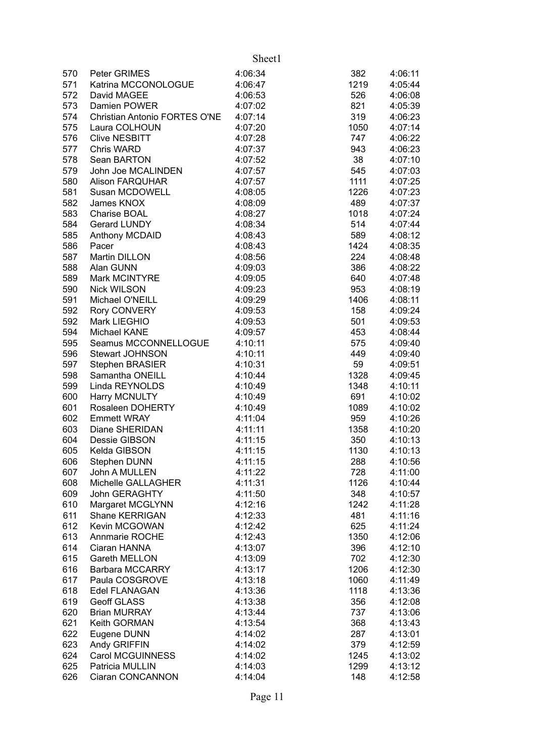|            |                                           | Sheet1             |             |                    |
|------------|-------------------------------------------|--------------------|-------------|--------------------|
| 570        | Peter GRIMES                              | 4:06:34            | 382         | 4:06:11            |
| 571        | Katrina MCCONOLOGUE                       | 4:06:47            | 1219        | 4:05:44            |
| 572        | David MAGEE                               | 4:06:53            | 526         | 4:06:08            |
| 573        | Damien POWER                              | 4:07:02            | 821         | 4:05:39            |
| 574        | Christian Antonio FORTES O'NE             | 4:07:14            | 319         | 4:06:23            |
| 575        | Laura COLHOUN                             | 4:07:20            | 1050        | 4:07:14            |
| 576        | <b>Clive NESBITT</b>                      | 4:07:28            | 747         | 4:06:22            |
| 577        | Chris WARD                                | 4:07:37            | 943         | 4:06:23            |
| 578        | Sean BARTON                               | 4:07:52            | 38          | 4:07:10            |
| 579        | John Joe MCALINDEN                        | 4:07:57            | 545         | 4:07:03            |
| 580        | <b>Alison FARQUHAR</b>                    | 4:07:57            | 1111        | 4:07:25            |
| 581        | Susan MCDOWELL                            | 4:08:05            | 1226        | 4:07:23            |
| 582        | James KNOX                                | 4:08:09            | 489         | 4:07:37            |
| 583        | Charise BOAL                              | 4:08:27            | 1018        | 4:07:24            |
| 584        | Gerard LUNDY                              | 4:08:34            | 514         | 4:07:44            |
| 585        | Anthony MCDAID                            | 4:08:43            | 589         | 4:08:12            |
| 586        | Pacer                                     | 4:08:43            | 1424        | 4:08:35            |
| 587        | Martin DILLON                             | 4:08:56            | 224         | 4:08:48            |
| 588        | Alan GUNN                                 | 4:09:03            | 386         | 4:08:22            |
| 589        | Mark MCINTYRE                             | 4:09:05            | 640         | 4:07:48            |
| 590        | <b>Nick WILSON</b>                        | 4:09:23            | 953         | 4:08:19            |
| 591        | Michael O'NEILL                           | 4:09:29            | 1406        | 4:08:11            |
| 592        | Rory CONVERY                              | 4:09:53            | 158         | 4:09:24            |
| 592        | Mark LIEGHIO                              | 4:09:53            | 501         | 4:09:53            |
| 594        | Michael KANE                              | 4:09:57            | 453         | 4:08:44            |
| 595        | Seamus MCCONNELLOGUE                      | 4:10:11            | 575         | 4:09:40            |
| 596        | Stewart JOHNSON                           | 4:10:11            | 449         | 4:09:40            |
| 597        | Stephen BRASIER                           | 4:10:31            | 59          | 4:09:51            |
| 598        | Samantha ONEILL                           | 4:10:44            | 1328        | 4:09:45            |
| 599        | Linda REYNOLDS                            | 4:10:49            | 1348        | 4:10:11            |
| 600        | Harry MCNULTY                             | 4:10:49            | 691         | 4:10:02            |
| 601        | Rosaleen DOHERTY                          | 4:10:49            | 1089        | 4:10:02            |
| 602        | <b>Emmett WRAY</b>                        | 4:11:04            | 959         | 4:10:26            |
| 603        | Diane SHERIDAN                            | 4:11:11            | 1358        | 4:10:20            |
| 604        | Dessie GIBSON                             | 4:11:15            | 350         | 4:10:13            |
| 605        | Kelda GIBSON                              | 4:11:15            | 1130        | 4:10:13            |
| 606        | Stephen DUNN                              | 4:11:15            | 288         | 4:10:56            |
| 607        | John A MULLEN                             | 4:11:22            | 728         | 4:11:00            |
| 608        | Michelle GALLAGHER                        | 4:11:31            | 1126        | 4:10:44            |
| 609<br>610 | <b>John GERAGHTY</b>                      | 4:11:50            | 348         | 4:10:57            |
| 611        | Margaret MCGLYNN<br><b>Shane KERRIGAN</b> | 4:12:16<br>4:12:33 | 1242<br>481 | 4:11:28<br>4:11:16 |
| 612        | Kevin MCGOWAN                             | 4:12:42            | 625         | 4:11:24            |
| 613        | Annmarie ROCHE                            | 4:12:43            | 1350        | 4:12:06            |
| 614        | Ciaran HANNA                              | 4:13:07            | 396         | 4:12:10            |
| 615        | Gareth MELLON                             | 4:13:09            | 702         | 4:12:30            |
| 616        | Barbara MCCARRY                           | 4:13:17            | 1206        | 4:12:30            |
| 617        | Paula COSGROVE                            | 4:13:18            | 1060        | 4:11:49            |
| 618        | Edel FLANAGAN                             | 4:13:36            | 1118        | 4:13:36            |
| 619        | Geoff GLASS                               | 4:13:38            | 356         | 4:12:08            |
| 620        | <b>Brian MURRAY</b>                       | 4:13:44            | 737         | 4:13:06            |
| 621        | Keith GORMAN                              | 4:13:54            | 368         | 4:13:43            |
| 622        | Eugene DUNN                               | 4:14:02            | 287         | 4:13:01            |
| 623        | Andy GRIFFIN                              | 4:14:02            | 379         | 4:12:59            |
| 624        | Carol MCGUINNESS                          | 4:14:02            | 1245        | 4:13:02            |
| 625        | Patricia MULLIN                           | 4:14:03            | 1299        | 4:13:12            |
| 626        | Ciaran CONCANNON                          | 4:14:04            | 148         | 4:12:58            |
|            |                                           |                    |             |                    |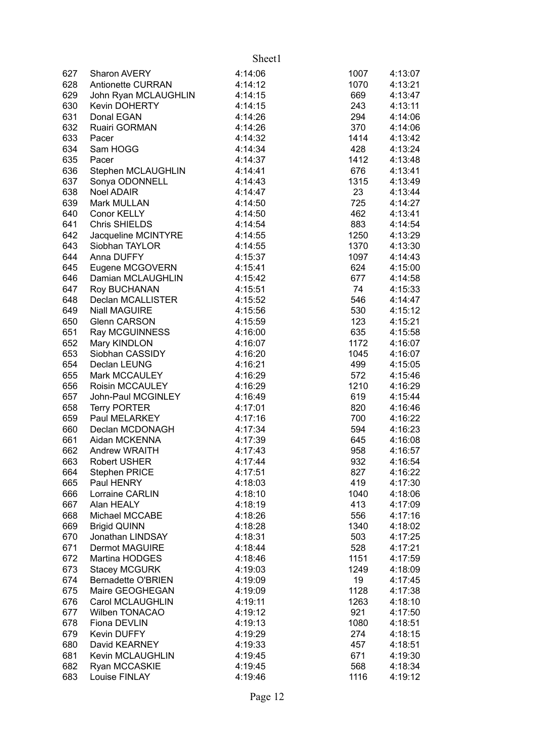|     |                           | Sheet1  |      |         |
|-----|---------------------------|---------|------|---------|
| 627 | Sharon AVERY              | 4:14:06 | 1007 | 4:13:07 |
| 628 | <b>Antionette CURRAN</b>  | 4:14:12 | 1070 | 4:13:21 |
| 629 | John Ryan MCLAUGHLIN      | 4:14:15 | 669  | 4:13:47 |
| 630 | <b>Kevin DOHERTY</b>      | 4:14:15 | 243  | 4:13:11 |
| 631 | Donal EGAN                | 4:14:26 | 294  | 4:14:06 |
| 632 | Ruairi GORMAN             | 4:14:26 | 370  | 4:14:06 |
| 633 | Pacer                     | 4:14:32 | 1414 | 4:13:42 |
| 634 | Sam HOGG                  | 4:14:34 | 428  | 4:13:24 |
| 635 | Pacer                     | 4:14:37 | 1412 | 4:13:48 |
| 636 | Stephen MCLAUGHLIN        | 4:14:41 | 676  | 4:13:41 |
| 637 | Sonya ODONNELL            | 4:14:43 | 1315 | 4:13:49 |
| 638 | Noel ADAIR                | 4:14:47 | 23   | 4:13:44 |
| 639 | Mark MULLAN               | 4:14:50 | 725  | 4:14:27 |
| 640 | Conor KELLY               | 4:14:50 | 462  | 4:13:41 |
| 641 | <b>Chris SHIELDS</b>      | 4:14:54 | 883  | 4:14:54 |
| 642 | Jacqueline MCINTYRE       | 4:14:55 | 1250 | 4:13:29 |
| 643 | Siobhan TAYLOR            | 4:14:55 | 1370 | 4:13:30 |
| 644 | Anna DUFFY                | 4:15:37 | 1097 | 4:14:43 |
| 645 | Eugene MCGOVERN           | 4:15:41 | 624  | 4:15:00 |
| 646 | Damian MCLAUGHLIN         | 4:15:42 | 677  | 4:14:58 |
| 647 | Roy BUCHANAN              | 4:15:51 | 74   | 4:15:33 |
| 648 | Declan MCALLISTER         | 4:15:52 | 546  | 4:14:47 |
| 649 | <b>Niall MAGUIRE</b>      | 4:15:56 | 530  | 4:15:12 |
| 650 | <b>Glenn CARSON</b>       | 4:15:59 | 123  | 4:15:21 |
| 651 | Ray MCGUINNESS            | 4:16:00 | 635  | 4:15:58 |
| 652 | Mary KINDLON              | 4:16:07 | 1172 | 4:16:07 |
| 653 | Siobhan CASSIDY           | 4:16:20 | 1045 | 4:16:07 |
| 654 | Declan LEUNG              | 4:16:21 | 499  | 4:15:05 |
| 655 | Mark MCCAULEY             | 4:16:29 | 572  | 4:15:46 |
| 656 | Roisin MCCAULEY           | 4:16:29 | 1210 | 4:16:29 |
| 657 | John-Paul MCGINLEY        | 4:16:49 | 619  | 4:15:44 |
| 658 | <b>Terry PORTER</b>       | 4:17:01 | 820  | 4:16:46 |
| 659 | Paul MELARKEY             | 4:17:16 | 700  | 4:16:22 |
| 660 | Declan MCDONAGH           | 4:17:34 | 594  | 4:16:23 |
| 661 | Aidan MCKENNA             | 4:17:39 | 645  | 4:16:08 |
| 662 | <b>Andrew WRAITH</b>      | 4:17:43 | 958  | 4:16:57 |
| 663 | <b>Robert USHER</b>       | 4:17:44 | 932  | 4:16:54 |
| 664 | <b>Stephen PRICE</b>      | 4:17:51 | 827  | 4:16:22 |
| 665 | Paul HENRY                | 4:18:03 | 419  | 4:17:30 |
| 666 | Lorraine CARLIN           | 4:18:10 | 1040 | 4:18:06 |
| 667 | Alan HEALY                | 4:18:19 | 413  | 4:17:09 |
| 668 | Michael MCCABE            | 4:18:26 | 556  | 4:17:16 |
| 669 | <b>Brigid QUINN</b>       | 4:18:28 | 1340 | 4:18:02 |
| 670 | Jonathan LINDSAY          | 4:18:31 | 503  | 4:17:25 |
| 671 | <b>Dermot MAGUIRE</b>     | 4:18:44 | 528  | 4:17:21 |
| 672 | Martina HODGES            | 4:18:46 | 1151 | 4:17:59 |
| 673 | <b>Stacey MCGURK</b>      | 4:19:03 | 1249 | 4:18:09 |
| 674 | <b>Bernadette O'BRIEN</b> | 4:19:09 | 19   | 4:17:45 |
| 675 | Maire GEOGHEGAN           | 4:19:09 | 1128 | 4:17:38 |
| 676 | Carol MCLAUGHLIN          | 4:19:11 | 1263 | 4:18:10 |
| 677 | <b>Wilben TONACAO</b>     | 4:19:12 | 921  | 4:17:50 |
| 678 | Fiona DEVLIN              | 4:19:13 | 1080 | 4:18:51 |
| 679 | <b>Kevin DUFFY</b>        | 4:19:29 | 274  | 4:18:15 |
| 680 | David KEARNEY             | 4:19:33 | 457  | 4:18:51 |
| 681 | Kevin MCLAUGHLIN          | 4:19:45 | 671  | 4:19:30 |
| 682 | Ryan MCCASKIE             | 4:19:45 | 568  | 4:18:34 |
| 683 | Louise FINLAY             | 4:19:46 | 1116 | 4:19:12 |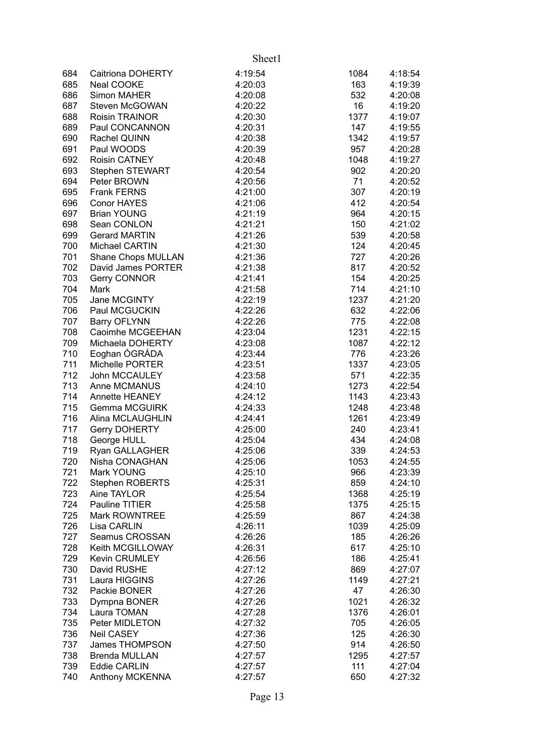|     |                        | Sheet1  |      |         |
|-----|------------------------|---------|------|---------|
| 684 | Caitriona DOHERTY      | 4:19:54 | 1084 | 4:18:54 |
| 685 | Neal COOKE             | 4:20:03 | 163  | 4:19:39 |
| 686 | Simon MAHER            | 4:20:08 | 532  | 4:20:08 |
| 687 | Steven McGOWAN         | 4:20:22 | 16   | 4:19:20 |
| 688 | <b>Roisin TRAINOR</b>  | 4:20:30 | 1377 | 4:19:07 |
| 689 | Paul CONCANNON         | 4:20:31 | 147  | 4:19:55 |
| 690 | Rachel QUINN           | 4:20:38 | 1342 | 4:19:57 |
| 691 | Paul WOODS             | 4:20:39 | 957  | 4:20:28 |
| 692 | <b>Roisin CATNEY</b>   | 4:20:48 | 1048 | 4:19:27 |
| 693 | Stephen STEWART        | 4:20:54 | 902  | 4:20:20 |
| 694 | Peter BROWN            | 4:20:56 | 71   | 4:20:52 |
| 695 | <b>Frank FERNS</b>     | 4:21:00 | 307  | 4:20:19 |
| 696 | <b>Conor HAYES</b>     | 4:21:06 | 412  | 4:20:54 |
| 697 | <b>Brian YOUNG</b>     | 4:21:19 | 964  | 4:20:15 |
| 698 | Sean CONLON            | 4:21:21 | 150  | 4:21:02 |
| 699 | <b>Gerard MARTIN</b>   | 4:21:26 | 539  | 4:20:58 |
| 700 | Michael CARTIN         | 4:21:30 | 124  | 4:20:45 |
| 701 | Shane Chops MULLAN     | 4:21:36 | 727  | 4:20:26 |
| 702 | David James PORTER     | 4:21:38 | 817  | 4:20:52 |
| 703 | Gerry CONNOR           | 4:21:41 | 154  | 4:20:25 |
| 704 | Mark                   | 4:21:58 | 714  | 4:21:10 |
| 705 | Jane MCGINTY           | 4:22:19 | 1237 | 4:21:20 |
| 706 | Paul MCGUCKIN          | 4:22:26 | 632  | 4:22:06 |
| 707 | <b>Barry OFLYNN</b>    | 4:22:26 | 775  | 4:22:08 |
| 708 | Caoimhe MCGEEHAN       | 4:23:04 | 1231 | 4:22:15 |
| 709 | Michaela DOHERTY       | 4:23:08 | 1087 | 4:22:12 |
| 710 | Eoghan ÓGRÁDA          | 4:23:44 | 776  | 4:23:26 |
| 711 | Michelle PORTER        | 4:23:51 | 1337 | 4:23:05 |
| 712 | John MCCAULEY          | 4:23:58 | 571  | 4:22:35 |
| 713 | Anne MCMANUS           | 4:24:10 | 1273 | 4:22:54 |
| 714 | Annette HEANEY         | 4:24:12 | 1143 | 4:23:43 |
| 715 | <b>Gemma MCGUIRK</b>   | 4:24:33 | 1248 | 4:23:48 |
| 716 | Alina MCLAUGHLIN       | 4:24:41 | 1261 | 4:23:49 |
| 717 | <b>Gerry DOHERTY</b>   | 4:25:00 | 240  | 4:23:41 |
| 718 | George HULL            | 4:25:04 | 434  | 4:24:08 |
| 719 | <b>Ryan GALLAGHER</b>  | 4:25:06 | 339  | 4:24:53 |
| 720 | Nisha CONAGHAN         | 4:25:06 | 1053 | 4:24:55 |
| 721 | Mark YOUNG             | 4:25:10 | 966  | 4:23:39 |
| 722 | <b>Stephen ROBERTS</b> | 4:25:31 | 859  | 4:24:10 |
| 723 | Aine TAYLOR            | 4:25:54 | 1368 | 4:25:19 |
| 724 | Pauline TITIER         | 4:25:58 | 1375 | 4:25:15 |
| 725 | Mark ROWNTREE          | 4:25:59 | 867  | 4:24:38 |
| 726 | Lisa CARLIN            | 4:26:11 | 1039 | 4:25:09 |
| 727 | Seamus CROSSAN         | 4:26:26 | 185  | 4:26:26 |
| 728 | Keith MCGILLOWAY       | 4:26:31 | 617  | 4:25:10 |
| 729 | <b>Kevin CRUMLEY</b>   | 4:26:56 | 186  | 4:25:41 |
| 730 | David RUSHE            | 4:27:12 | 869  | 4:27:07 |
| 731 | Laura HIGGINS          | 4:27:26 | 1149 | 4:27:21 |
| 732 | Packie BONER           | 4:27:26 | 47   | 4:26:30 |
| 733 | Dympna BONER           | 4:27:26 | 1021 | 4:26:32 |
| 734 | Laura TOMAN            | 4:27:28 | 1376 | 4:26:01 |
| 735 | Peter MIDLETON         | 4:27:32 | 705  | 4:26:05 |
| 736 | Neil CASEY             | 4:27:36 | 125  | 4:26:30 |
| 737 | James THOMPSON         | 4:27:50 | 914  | 4:26:50 |
| 738 | <b>Brenda MULLAN</b>   | 4:27:57 | 1295 | 4:27:57 |
| 739 | <b>Eddie CARLIN</b>    | 4:27:57 | 111  | 4:27:04 |
| 740 | Anthony MCKENNA        | 4:27:57 | 650  | 4:27:32 |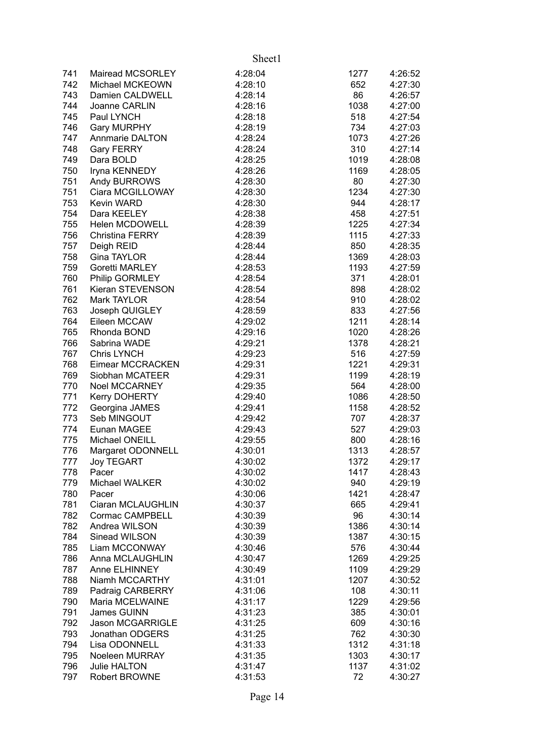|     |                         | Sheet1  |      |         |
|-----|-------------------------|---------|------|---------|
| 741 | Mairead MCSORLEY        | 4:28:04 | 1277 | 4:26:52 |
| 742 | Michael MCKEOWN         | 4:28:10 | 652  | 4:27:30 |
| 743 | Damien CALDWELL         | 4:28:14 | 86   | 4:26:57 |
| 744 | Joanne CARLIN           | 4:28:16 | 1038 | 4:27:00 |
| 745 | Paul LYNCH              | 4:28:18 | 518  | 4:27:54 |
| 746 | <b>Gary MURPHY</b>      | 4:28:19 | 734  | 4:27:03 |
| 747 | <b>Annmarie DALTON</b>  | 4:28:24 | 1073 | 4:27:26 |
| 748 | <b>Gary FERRY</b>       | 4:28:24 | 310  | 4:27:14 |
| 749 | Dara BOLD               | 4:28:25 | 1019 | 4:28:08 |
| 750 | Iryna KENNEDY           | 4:28:26 | 1169 | 4:28:05 |
| 751 | Andy BURROWS            | 4:28:30 | 80   | 4:27:30 |
| 751 | Ciara MCGILLOWAY        | 4:28:30 | 1234 | 4:27:30 |
| 753 | <b>Kevin WARD</b>       | 4:28:30 | 944  | 4:28:17 |
| 754 | Dara KEELEY             | 4:28:38 | 458  | 4:27:51 |
| 755 | <b>Helen MCDOWELL</b>   | 4:28:39 | 1225 | 4:27:34 |
| 756 | <b>Christina FERRY</b>  | 4:28:39 | 1115 | 4:27:33 |
| 757 | Deigh REID              | 4:28:44 | 850  | 4:28:35 |
| 758 | Gina TAYLOR             | 4:28:44 | 1369 | 4:28:03 |
| 759 | Goretti MARLEY          | 4:28:53 | 1193 | 4:27:59 |
| 760 | Philip GORMLEY          | 4:28:54 | 371  | 4:28:01 |
| 761 | Kieran STEVENSON        | 4:28:54 | 898  | 4:28:02 |
| 762 | Mark TAYLOR             | 4:28:54 | 910  | 4:28:02 |
| 763 | Joseph QUIGLEY          | 4:28:59 | 833  | 4:27:56 |
| 764 | Eileen MCCAW            | 4:29:02 | 1211 | 4:28:14 |
| 765 | Rhonda BOND             | 4:29:16 | 1020 | 4:28:26 |
| 766 | Sabrina WADE            | 4:29:21 | 1378 | 4:28:21 |
| 767 | <b>Chris LYNCH</b>      | 4:29:23 | 516  | 4:27:59 |
| 768 | Eimear MCCRACKEN        | 4:29:31 | 1221 | 4:29:31 |
| 769 | Siobhan MCATEER         | 4:29:31 | 1199 | 4:28:19 |
| 770 | <b>Noel MCCARNEY</b>    | 4:29:35 | 564  | 4:28:00 |
| 771 | <b>Kerry DOHERTY</b>    | 4:29:40 | 1086 | 4:28:50 |
| 772 | Georgina JAMES          | 4:29:41 | 1158 | 4:28:52 |
| 773 | Seb MINGOUT             | 4:29:42 | 707  | 4:28:37 |
| 774 | Eunan MAGEE             | 4:29:43 | 527  | 4:29:03 |
| 775 | Michael ONEILL          | 4:29:55 | 800  | 4:28:16 |
| 776 | Margaret ODONNELL       | 4:30:01 | 1313 | 4:28:57 |
| 777 | <b>Joy TEGART</b>       | 4:30:02 | 1372 | 4:29:17 |
| 778 | Pacer                   | 4:30:02 | 1417 | 4:28:43 |
| 779 | Michael WALKER          | 4:30:02 | 940  | 4:29:19 |
| 780 | Pacer                   | 4:30:06 | 1421 | 4:28:47 |
| 781 | Ciaran MCLAUGHLIN       | 4:30:37 | 665  | 4:29:41 |
| 782 | Cormac CAMPBELL         | 4:30:39 | 96   | 4:30:14 |
| 782 | Andrea WILSON           | 4:30:39 | 1386 | 4:30:14 |
| 784 | Sinead WILSON           | 4:30:39 | 1387 | 4:30:15 |
| 785 | Liam MCCONWAY           | 4:30:46 | 576  | 4:30:44 |
| 786 | Anna MCLAUGHLIN         | 4:30:47 | 1269 | 4:29:25 |
| 787 | Anne ELHINNEY           | 4:30:49 | 1109 | 4:29:29 |
| 788 | Niamh MCCARTHY          | 4:31:01 | 1207 | 4:30:52 |
| 789 | Padraig CARBERRY        | 4:31:06 | 108  | 4:30:11 |
| 790 | Maria MCELWAINE         | 4:31:17 | 1229 | 4:29:56 |
| 791 | James GUINN             | 4:31:23 | 385  | 4:30:01 |
| 792 | <b>Jason MCGARRIGLE</b> | 4:31:25 | 609  | 4:30:16 |
| 793 | Jonathan ODGERS         | 4:31:25 | 762  | 4:30:30 |
| 794 | Lisa ODONNELL           | 4:31:33 | 1312 | 4:31:18 |
| 795 | Noeleen MURRAY          | 4:31:35 | 1303 | 4:30:17 |
| 796 | <b>Julie HALTON</b>     | 4:31:47 | 1137 | 4:31:02 |
| 797 | <b>Robert BROWNE</b>    | 4:31:53 | 72   | 4:30:27 |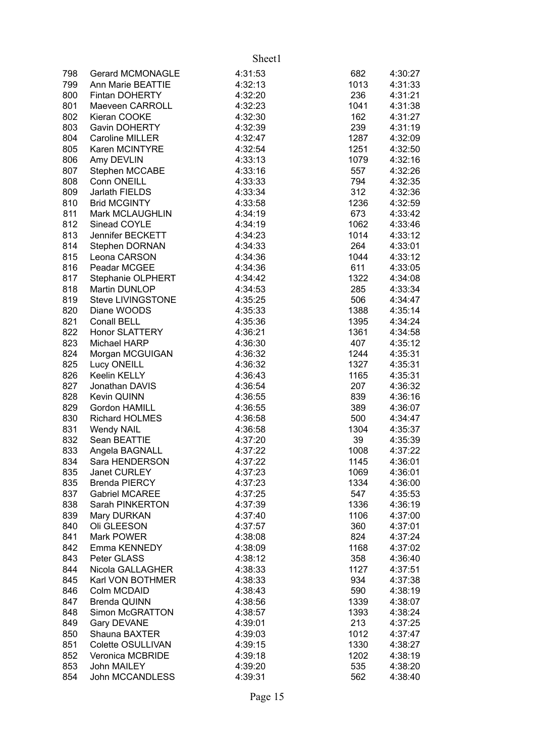|     |                          | Sheet1  |      |         |
|-----|--------------------------|---------|------|---------|
| 798 | <b>Gerard MCMONAGLE</b>  | 4:31:53 | 682  | 4:30:27 |
| 799 | Ann Marie BEATTIE        | 4:32:13 | 1013 | 4:31:33 |
| 800 | <b>Fintan DOHERTY</b>    | 4:32:20 | 236  | 4:31:21 |
| 801 | Maeveen CARROLL          | 4:32:23 | 1041 | 4:31:38 |
| 802 | Kieran COOKE             | 4:32:30 | 162  | 4:31:27 |
| 803 | Gavin DOHERTY            | 4:32:39 | 239  | 4:31:19 |
| 804 | Caroline MILLER          | 4:32:47 | 1287 | 4:32:09 |
| 805 | Karen MCINTYRE           | 4:32:54 | 1251 | 4:32:50 |
| 806 | Amy DEVLIN               | 4:33:13 | 1079 | 4:32:16 |
| 807 | Stephen MCCABE           | 4:33:16 | 557  | 4:32:26 |
| 808 | Conn ONEILL              | 4:33:33 | 794  | 4:32:35 |
| 809 | Jarlath FIELDS           | 4:33:34 | 312  | 4:32:36 |
| 810 | <b>Brid MCGINTY</b>      | 4:33:58 | 1236 | 4:32:59 |
| 811 | Mark MCLAUGHLIN          | 4:34:19 | 673  | 4:33:42 |
| 812 | Sinead COYLE             | 4:34:19 | 1062 | 4:33:46 |
| 813 | Jennifer BECKETT         | 4:34:23 | 1014 | 4:33:12 |
| 814 | Stephen DORNAN           | 4:34:33 | 264  | 4:33:01 |
| 815 | Leona CARSON             | 4:34:36 | 1044 | 4:33:12 |
| 816 | Peadar MCGEE             | 4:34:36 | 611  | 4:33:05 |
| 817 | Stephanie OLPHERT        | 4:34:42 | 1322 | 4:34:08 |
| 818 | Martin DUNLOP            | 4:34:53 | 285  | 4:33:34 |
| 819 | <b>Steve LIVINGSTONE</b> | 4:35:25 | 506  | 4:34:47 |
| 820 | Diane WOODS              | 4:35:33 | 1388 | 4:35:14 |
| 821 | Conall BELL              | 4:35:36 | 1395 | 4:34:24 |
| 822 | Honor SLATTERY           | 4:36:21 | 1361 | 4:34:58 |
| 823 | Michael HARP             | 4:36:30 | 407  | 4:35:12 |
| 824 | Morgan MCGUIGAN          | 4:36:32 | 1244 | 4:35:31 |
| 825 | Lucy ONEILL              | 4:36:32 | 1327 | 4:35:31 |
| 826 | Keelin KELLY             | 4:36:43 | 1165 | 4:35:31 |
| 827 | Jonathan DAVIS           | 4:36:54 | 207  | 4:36:32 |
| 828 | <b>Kevin QUINN</b>       | 4:36:55 | 839  | 4:36:16 |
| 829 | Gordon HAMILL            | 4:36:55 | 389  | 4:36:07 |
| 830 | <b>Richard HOLMES</b>    | 4:36:58 | 500  | 4:34:47 |
| 831 | <b>Wendy NAIL</b>        | 4:36:58 | 1304 | 4:35:37 |
| 832 | Sean BEATTIE             | 4:37:20 | 39   | 4:35:39 |
| 833 | Angela BAGNALL           | 4:37:22 | 1008 | 4:37:22 |
| 834 | Sara HENDERSON           | 4:37:22 | 1145 | 4:36:01 |
| 835 | Janet CURLEY             | 4:37:23 | 1069 | 4:36:01 |
| 835 | <b>Brenda PIERCY</b>     | 4:37:23 | 1334 | 4:36:00 |
| 837 | <b>Gabriel MCAREE</b>    | 4:37:25 | 547  | 4:35:53 |
| 838 | Sarah PINKERTON          | 4:37:39 | 1336 | 4:36:19 |
| 839 | Mary DURKAN              | 4:37:40 | 1106 | 4:37:00 |
| 840 | Oli GLEESON              | 4:37:57 | 360  | 4:37:01 |
| 841 | Mark POWER               | 4:38:08 | 824  | 4:37:24 |
| 842 | Emma KENNEDY             | 4:38:09 | 1168 | 4:37:02 |
| 843 | Peter GLASS              | 4:38:12 | 358  | 4:36:40 |
| 844 | Nicola GALLAGHER         | 4:38:33 | 1127 | 4:37:51 |
| 845 | Karl VON BOTHMER         | 4:38:33 | 934  | 4:37:38 |
| 846 | Colm MCDAID              | 4:38:43 | 590  | 4:38:19 |
| 847 | <b>Brenda QUINN</b>      | 4:38:56 | 1339 | 4:38:07 |
| 848 | Simon McGRATTON          | 4:38:57 | 1393 | 4:38:24 |
| 849 | <b>Gary DEVANE</b>       | 4:39:01 | 213  | 4:37:25 |
| 850 | Shauna BAXTER            | 4:39:03 | 1012 | 4:37:47 |
| 851 | Colette OSULLIVAN        | 4:39:15 | 1330 | 4:38:27 |
| 852 | Veronica MCBRIDE         | 4:39:18 | 1202 | 4:38:19 |
| 853 | John MAILEY              | 4:39:20 | 535  | 4:38:20 |
| 854 | John MCCANDLESS          | 4:39:31 | 562  | 4:38:40 |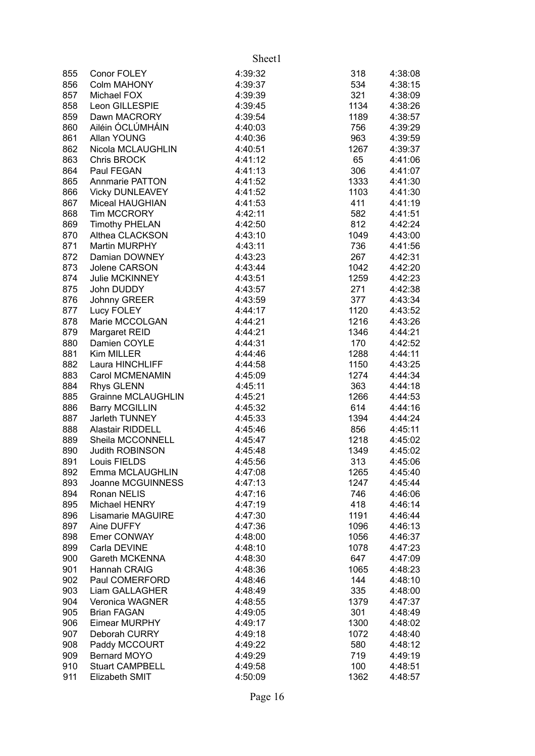|     |                          | Sheet1  |      |         |
|-----|--------------------------|---------|------|---------|
| 855 | Conor FOLEY              | 4:39:32 | 318  | 4:38:08 |
| 856 | <b>Colm MAHONY</b>       | 4:39:37 | 534  | 4:38:15 |
| 857 | Michael FOX              | 4:39:39 | 321  | 4:38:09 |
| 858 | Leon GILLESPIE           | 4:39:45 | 1134 | 4:38:26 |
| 859 | Dawn MACRORY             | 4:39:54 | 1189 | 4:38:57 |
| 860 | Ailéin ÓCLÚMHÁIN         | 4:40:03 | 756  | 4:39:29 |
| 861 | Allan YOUNG              | 4:40:36 | 963  | 4:39:59 |
| 862 | Nicola MCLAUGHLIN        | 4:40:51 | 1267 | 4:39:37 |
| 863 | Chris BROCK              | 4:41:12 | 65   | 4:41:06 |
| 864 | Paul FEGAN               | 4:41:13 | 306  | 4:41:07 |
| 865 | Annmarie PATTON          | 4:41:52 | 1333 | 4:41:30 |
| 866 | <b>Vicky DUNLEAVEY</b>   | 4:41:52 | 1103 | 4:41:30 |
| 867 | Miceal HAUGHIAN          | 4:41:53 | 411  | 4:41:19 |
| 868 | <b>Tim MCCRORY</b>       | 4:42:11 | 582  | 4:41:51 |
| 869 | <b>Timothy PHELAN</b>    | 4:42:50 | 812  | 4:42:24 |
| 870 | Althea CLACKSON          | 4:43:10 | 1049 | 4:43:00 |
| 871 | Martin MURPHY            | 4:43:11 | 736  | 4:41:56 |
| 872 | Damian DOWNEY            | 4:43:23 | 267  | 4:42:31 |
| 873 | Jolene CARSON            | 4:43:44 | 1042 | 4:42:20 |
| 874 | <b>Julie MCKINNEY</b>    | 4:43:51 | 1259 | 4:42:23 |
| 875 | John DUDDY               | 4:43:57 | 271  | 4:42:38 |
| 876 | Johnny GREER             | 4:43:59 | 377  | 4:43:34 |
| 877 | Lucy FOLEY               | 4:44:17 | 1120 | 4:43:52 |
| 878 | Marie MCCOLGAN           | 4:44:21 | 1216 | 4:43:26 |
| 879 | Margaret REID            | 4:44:21 | 1346 | 4:44:21 |
| 880 | Damien COYLE             | 4:44:31 | 170  | 4:42:52 |
| 881 | Kim MILLER               | 4:44:46 | 1288 | 4:44:11 |
| 882 | Laura HINCHLIFF          | 4:44:58 | 1150 | 4:43:25 |
| 883 | Carol MCMENAMIN          | 4:45:09 | 1274 | 4:44:34 |
| 884 | <b>Rhys GLENN</b>        | 4:45:11 | 363  | 4:44:18 |
| 885 | Grainne MCLAUGHLIN       | 4:45:21 | 1266 | 4:44:53 |
| 886 | <b>Barry MCGILLIN</b>    | 4:45:32 | 614  | 4:44:16 |
| 887 | Jarleth TUNNEY           | 4:45:33 | 1394 | 4:44:24 |
| 888 | <b>Alastair RIDDELL</b>  | 4:45:46 | 856  | 4:45:11 |
| 889 | Sheila MCCONNELL         | 4:45:47 | 1218 | 4:45:02 |
| 890 | <b>Judith ROBINSON</b>   | 4:45:48 | 1349 | 4:45:02 |
| 891 | Louis FIELDS             | 4:45:56 | 313  | 4:45:06 |
| 892 | Emma MCLAUGHLIN          | 4:47:08 | 1265 | 4:45:40 |
| 893 | Joanne MCGUINNESS        | 4:47:13 | 1247 | 4:45:44 |
| 894 | Ronan NELIS              | 4:47:16 | 746  | 4:46:06 |
| 895 | Michael HENRY            | 4:47:19 | 418  | 4:46:14 |
| 896 | <b>Lisamarie MAGUIRE</b> | 4:47:30 | 1191 | 4:46:44 |
| 897 | Aine DUFFY               | 4:47:36 | 1096 | 4:46:13 |
| 898 | Emer CONWAY              | 4:48:00 | 1056 | 4:46:37 |
| 899 | Carla DEVINE             | 4:48:10 | 1078 | 4:47:23 |
| 900 | Gareth MCKENNA           | 4:48:30 | 647  | 4:47:09 |
| 901 | Hannah CRAIG             | 4:48:36 | 1065 | 4:48:23 |
| 902 | Paul COMERFORD           | 4:48:46 | 144  | 4:48:10 |
| 903 | Liam GALLAGHER           | 4:48:49 | 335  | 4:48:00 |
| 904 | <b>Veronica WAGNER</b>   | 4:48:55 | 1379 | 4:47:37 |
| 905 | <b>Brian FAGAN</b>       | 4:49:05 | 301  | 4:48:49 |
| 906 | Eimear MURPHY            | 4:49:17 | 1300 | 4:48:02 |
| 907 | Deborah CURRY            | 4:49:18 | 1072 | 4:48:40 |
| 908 | Paddy MCCOURT            | 4:49:22 | 580  | 4:48:12 |
| 909 | Bernard MOYO             | 4:49:29 | 719  | 4:49:19 |
| 910 | <b>Stuart CAMPBELL</b>   | 4:49:58 | 100  | 4:48:51 |
| 911 | Elizabeth SMIT           | 4:50:09 | 1362 | 4:48:57 |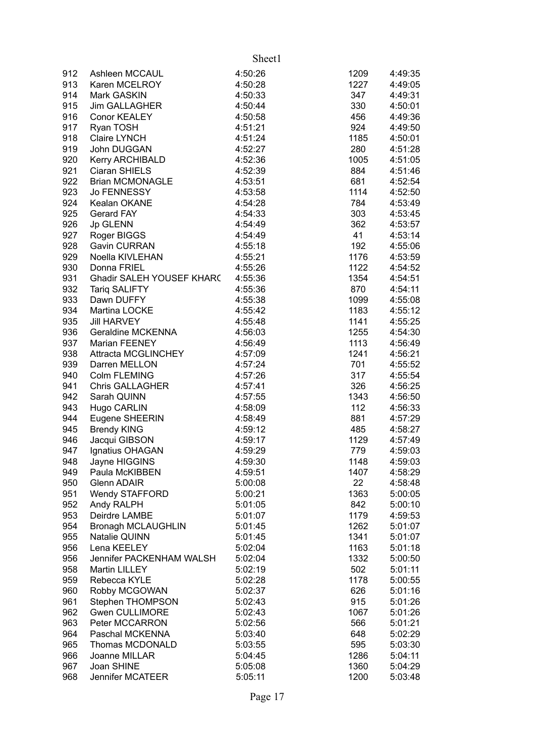|     |                            | Sheet1  |      |         |
|-----|----------------------------|---------|------|---------|
| 912 | Ashleen MCCAUL             | 4:50:26 | 1209 | 4:49:35 |
| 913 | Karen MCELROY              | 4:50:28 | 1227 | 4:49:05 |
| 914 | Mark GASKIN                | 4:50:33 | 347  | 4:49:31 |
| 915 | <b>Jim GALLAGHER</b>       | 4:50:44 | 330  | 4:50:01 |
| 916 | <b>Conor KEALEY</b>        | 4:50:58 | 456  | 4:49:36 |
| 917 | Ryan TOSH                  | 4:51:21 | 924  | 4:49:50 |
| 918 | <b>Claire LYNCH</b>        | 4:51:24 | 1185 | 4:50:01 |
| 919 | John DUGGAN                | 4:52:27 | 280  | 4:51:28 |
| 920 | Kerry ARCHIBALD            | 4:52:36 | 1005 | 4:51:05 |
| 921 | Ciaran SHIELS              | 4:52:39 | 884  | 4:51:46 |
| 922 | <b>Brian MCMONAGLE</b>     | 4:53:51 | 681  | 4:52:54 |
| 923 | Jo FENNESSY                | 4:53:58 | 1114 | 4:52:50 |
| 924 | Kealan OKANE               | 4:54:28 | 784  | 4:53:49 |
| 925 | <b>Gerard FAY</b>          | 4:54:33 | 303  | 4:53:45 |
| 926 | Jp GLENN                   | 4:54:49 | 362  | 4:53:57 |
| 927 | Roger BIGGS                | 4:54:49 | 41   | 4:53:14 |
| 928 | Gavin CURRAN               | 4:55:18 | 192  | 4:55:06 |
| 929 | Noella KIVLEHAN            | 4:55:21 | 1176 | 4:53:59 |
| 930 | Donna FRIEL                | 4:55:26 | 1122 | 4:54:52 |
| 931 | Ghadir SALEH YOUSEF KHAR(  | 4:55:36 | 1354 | 4:54:51 |
| 932 | Tariq SALIFTY              | 4:55:36 | 870  | 4:54:11 |
| 933 | Dawn DUFFY                 | 4:55:38 | 1099 | 4:55:08 |
| 934 | Martina LOCKE              | 4:55:42 | 1183 | 4:55:12 |
| 935 | <b>Jill HARVEY</b>         | 4:55:48 | 1141 | 4:55:25 |
| 936 | Geraldine MCKENNA          | 4:56:03 | 1255 | 4:54:30 |
| 937 | Marian FEENEY              | 4:56:49 | 1113 | 4:56:49 |
| 938 | <b>Attracta MCGLINCHEY</b> | 4:57:09 | 1241 | 4:56:21 |
| 939 | Darren MELLON              | 4:57:24 | 701  | 4:55:52 |
| 940 | Colm FLEMING               | 4:57:26 | 317  | 4:55:54 |
| 941 | <b>Chris GALLAGHER</b>     | 4:57:41 | 326  | 4:56:25 |
| 942 | Sarah QUINN                | 4:57:55 | 1343 | 4:56:50 |
| 943 | Hugo CARLIN                | 4:58:09 | 112  | 4:56:33 |
| 944 | Eugene SHEERIN             | 4:58:49 | 881  | 4:57:29 |
| 945 | <b>Brendy KING</b>         | 4:59:12 | 485  | 4:58:27 |
| 946 | Jacqui GIBSON              | 4:59:17 | 1129 | 4:57:49 |
| 947 | Ignatius OHAGAN            | 4:59:29 | 779  | 4:59:03 |
| 948 | Jayne HIGGINS              | 4:59:30 | 1148 | 4:59:03 |
| 949 | Paula McKIBBEN             | 4:59:51 | 1407 | 4:58:29 |
| 950 | <b>Glenn ADAIR</b>         | 5:00:08 | 22   | 4:58:48 |
| 951 | <b>Wendy STAFFORD</b>      | 5:00:21 | 1363 | 5:00:05 |
| 952 | Andy RALPH                 | 5:01:05 | 842  | 5:00:10 |
| 953 | Deirdre LAMBE              | 5:01:07 | 1179 | 4:59:53 |
| 954 | <b>Bronagh MCLAUGHLIN</b>  | 5:01:45 | 1262 | 5:01:07 |
| 955 | Natalie QUINN              | 5:01:45 | 1341 | 5:01:07 |
| 956 | Lena KEELEY                | 5:02:04 | 1163 | 5:01:18 |
| 956 | Jennifer PACKENHAM WALSH   | 5:02:04 | 1332 | 5:00:50 |
| 958 | Martin LILLEY              | 5:02:19 | 502  | 5:01:11 |
| 959 | Rebecca KYLE               | 5:02:28 | 1178 | 5:00:55 |
| 960 | Robby MCGOWAN              | 5:02:37 | 626  | 5:01:16 |
| 961 | Stephen THOMPSON           | 5:02:43 | 915  | 5:01:26 |
| 962 | Gwen CULLIMORE             | 5:02:43 | 1067 | 5:01:26 |
| 963 | Peter MCCARRON             | 5:02:56 | 566  | 5:01:21 |
| 964 | Paschal MCKENNA            | 5:03:40 | 648  | 5:02:29 |
| 965 | Thomas MCDONALD            | 5:03:55 | 595  | 5:03:30 |
| 966 | Joanne MILLAR              | 5:04:45 | 1286 | 5:04:11 |
| 967 | Joan SHINE                 | 5:05:08 | 1360 | 5:04:29 |
| 968 | Jennifer MCATEER           | 5:05:11 | 1200 | 5:03:48 |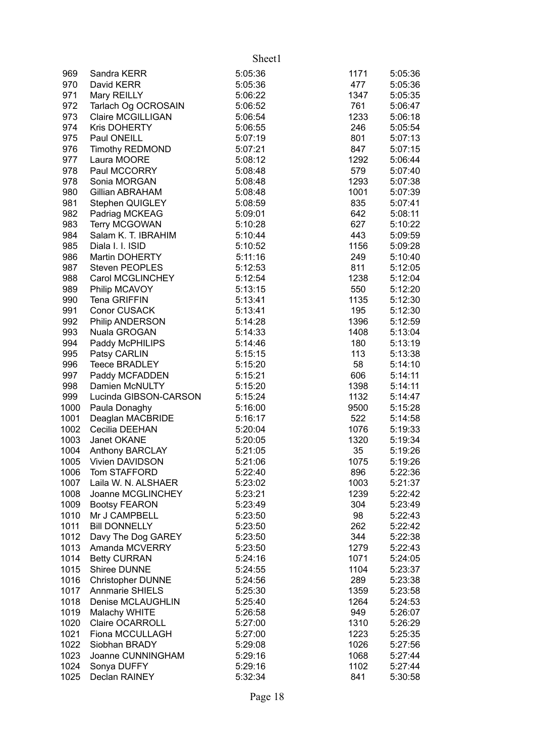|      |                          | Sheet1  |      |         |
|------|--------------------------|---------|------|---------|
| 969  | Sandra KERR              | 5:05:36 | 1171 | 5:05:36 |
| 970  | David KERR               | 5:05:36 | 477  | 5:05:36 |
| 971  | Mary REILLY              | 5:06:22 | 1347 | 5:05:35 |
| 972  | Tarlach Og OCROSAIN      | 5:06:52 | 761  | 5:06:47 |
| 973  | <b>Claire MCGILLIGAN</b> | 5:06:54 | 1233 | 5:06:18 |
| 974  | Kris DOHERTY             | 5:06:55 | 246  | 5:05:54 |
| 975  | Paul ONEILL              | 5:07:19 | 801  | 5:07:13 |
| 976  | <b>Timothy REDMOND</b>   | 5:07:21 | 847  | 5:07:15 |
| 977  | Laura MOORE              | 5:08:12 | 1292 | 5:06:44 |
| 978  | Paul MCCORRY             | 5:08:48 | 579  | 5:07:40 |
| 978  | Sonia MORGAN             | 5:08:48 | 1293 | 5:07:38 |
| 980  | <b>Gillian ABRAHAM</b>   | 5:08:48 | 1001 | 5:07:39 |
| 981  | Stephen QUIGLEY          | 5:08:59 | 835  | 5:07:41 |
| 982  | Padriag MCKEAG           | 5:09:01 | 642  | 5:08:11 |
| 983  | <b>Terry MCGOWAN</b>     | 5:10:28 | 627  | 5:10:22 |
| 984  | Salam K. T. IBRAHIM      | 5:10:44 | 443  | 5:09:59 |
| 985  | Diala I. I. ISID         | 5:10:52 | 1156 | 5:09:28 |
| 986  | Martin DOHERTY           | 5:11:16 | 249  | 5:10:40 |
| 987  | <b>Steven PEOPLES</b>    | 5:12:53 | 811  | 5:12:05 |
| 988  | Carol MCGLINCHEY         | 5:12:54 | 1238 | 5:12:04 |
| 989  | Philip MCAVOY            | 5:13:15 | 550  | 5:12:20 |
| 990  | <b>Tena GRIFFIN</b>      | 5:13:41 | 1135 | 5:12:30 |
| 991  | <b>Conor CUSACK</b>      | 5:13:41 | 195  | 5:12:30 |
| 992  | Philip ANDERSON          | 5:14:28 | 1396 | 5:12:59 |
| 993  | Nuala GROGAN             | 5:14:33 | 1408 | 5:13:04 |
| 994  | Paddy McPHILIPS          | 5:14:46 | 180  | 5:13:19 |
| 995  | Patsy CARLIN             | 5:15:15 | 113  | 5:13:38 |
| 996  | <b>Teece BRADLEY</b>     | 5:15:20 | 58   | 5:14:10 |
| 997  | Paddy MCFADDEN           | 5:15:21 | 606  | 5:14:11 |
| 998  | Damien McNULTY           | 5:15:20 | 1398 | 5:14:11 |
| 999  | Lucinda GIBSON-CARSON    | 5:15:24 | 1132 | 5:14:47 |
| 1000 | Paula Donaghy            | 5:16:00 | 9500 | 5:15:28 |
| 1001 | Deaglan MACBRIDE         | 5:16:17 | 522  | 5:14:58 |
| 1002 | Cecilia DEEHAN           | 5:20:04 | 1076 | 5:19:33 |
| 1003 | Janet OKANE              | 5:20:05 | 1320 | 5:19:34 |
| 1004 | <b>Anthony BARCLAY</b>   | 5:21:05 | 35   | 5:19:26 |
| 1005 | Vivien DAVIDSON          | 5:21:06 | 1075 | 5:19:26 |
| 1006 | Tom STAFFORD             | 5:22:40 | 896  | 5:22:36 |
| 1007 | Laila W. N. ALSHAER      | 5:23:02 | 1003 | 5:21:37 |
| 1008 | Joanne MCGLINCHEY        | 5:23:21 | 1239 | 5:22:42 |
| 1009 | <b>Bootsy FEARON</b>     | 5:23:49 | 304  | 5:23:49 |
| 1010 | Mr J CAMPBELL            | 5:23:50 | 98   | 5:22:43 |
| 1011 | <b>Bill DONNELLY</b>     | 5:23:50 | 262  | 5:22:42 |
| 1012 | Davy The Dog GAREY       | 5:23:50 | 344  | 5:22:38 |
| 1013 | Amanda MCVERRY           | 5:23:50 | 1279 | 5:22:43 |
| 1014 | <b>Betty CURRAN</b>      | 5:24:16 | 1071 | 5:24:05 |
| 1015 | Shiree DUNNE             | 5:24:55 | 1104 | 5:23:37 |
| 1016 | <b>Christopher DUNNE</b> | 5:24:56 | 289  | 5:23:38 |
| 1017 | <b>Annmarie SHIELS</b>   | 5:25:30 | 1359 | 5:23:58 |
| 1018 | Denise MCLAUGHLIN        | 5:25:40 | 1264 | 5:24:53 |
| 1019 | Malachy WHITE            | 5:26:58 | 949  | 5:26:07 |
| 1020 | Claire OCARROLL          | 5:27:00 | 1310 | 5:26:29 |
| 1021 | Fiona MCCULLAGH          | 5:27:00 | 1223 | 5:25:35 |
| 1022 | Siobhan BRADY            | 5:29:08 | 1026 | 5:27:56 |
| 1023 | Joanne CUNNINGHAM        | 5:29:16 | 1068 | 5:27:44 |
| 1024 | Sonya DUFFY              | 5:29:16 | 1102 | 5:27:44 |
| 1025 | Declan RAINEY            | 5:32:34 | 841  | 5:30:58 |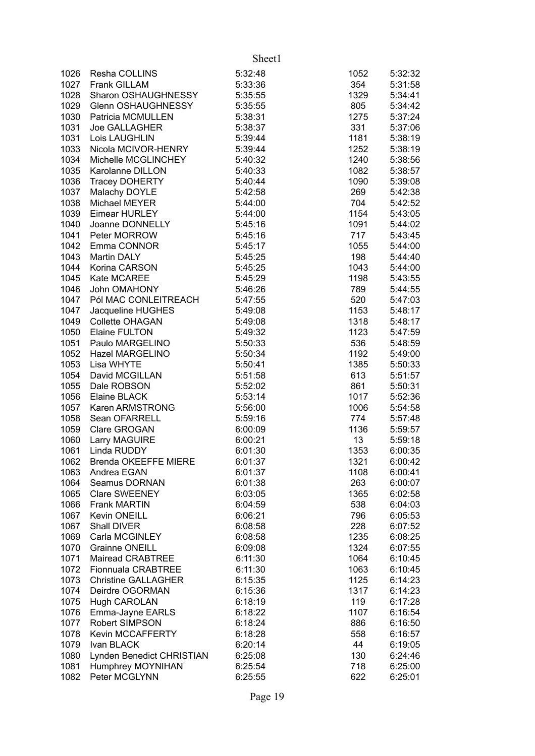|              |                               | Sheet1             |             |                    |
|--------------|-------------------------------|--------------------|-------------|--------------------|
| 1026         | Resha COLLINS                 | 5:32:48            | 1052        | 5:32:32            |
| 1027         | Frank GILLAM                  | 5:33:36            | 354         | 5:31:58            |
| 1028         | Sharon OSHAUGHNESSY           | 5:35:55            | 1329        | 5:34:41            |
| 1029         | Glenn OSHAUGHNESSY            | 5:35:55            | 805         | 5:34:42            |
| 1030         | Patricia MCMULLEN             | 5:38:31            | 1275        | 5:37:24            |
| 1031         | Joe GALLAGHER                 | 5:38:37            | 331         | 5:37:06            |
| 1031         | Lois LAUGHLIN                 | 5:39:44            | 1181        | 5:38:19            |
| 1033         | Nicola MCIVOR-HENRY           | 5:39:44            | 1252        | 5:38:19            |
| 1034         | Michelle MCGLINCHEY           | 5:40:32            | 1240        | 5:38:56            |
| 1035         | Karolanne DILLON              | 5:40:33            | 1082        | 5:38:57            |
| 1036         | <b>Tracey DOHERTY</b>         | 5:40:44            | 1090        | 5:39:08            |
| 1037         | Malachy DOYLE                 | 5:42:58            | 269         | 5:42:38            |
| 1038         | Michael MEYER                 | 5:44:00            | 704         | 5:42:52            |
| 1039         | Eimear HURLEY                 | 5:44:00            | 1154        | 5:43:05            |
| 1040         | Joanne DONNELLY               | 5:45:16            | 1091        | 5:44:02            |
| 1041         | Peter MORROW                  | 5:45:16            | 717         | 5:43:45            |
| 1042         | Emma CONNOR                   | 5:45:17            | 1055        | 5:44:00            |
| 1043         | <b>Martin DALY</b>            | 5:45:25            | 198         | 5:44:40            |
| 1044         | Korina CARSON                 | 5:45:25            | 1043        | 5:44:00            |
| 1045         | Kate MCAREE                   | 5:45:29            | 1198        | 5:43:55            |
| 1046         | John OMAHONY                  | 5:46:26            | 789         | 5:44:55            |
| 1047         | Pól MAC CONLEITREACH          | 5:47:55            | 520         | 5:47:03            |
| 1047         | Jacqueline HUGHES             | 5:49:08            | 1153        | 5:48:17            |
| 1049         | Collette OHAGAN               | 5:49:08            | 1318        | 5:48:17            |
| 1050         | <b>Elaine FULTON</b>          | 5:49:32            | 1123        | 5:47:59            |
| 1051         | Paulo MARGELINO               | 5:50:33            | 536         | 5:48:59            |
| 1052         | Hazel MARGELINO<br>Lisa WHYTE | 5:50:34            | 1192        | 5:49:00            |
| 1053<br>1054 | David MCGILLAN                | 5:50:41<br>5:51:58 | 1385<br>613 | 5:50:33<br>5:51:57 |
| 1055         | Dale ROBSON                   | 5:52:02            | 861         | 5:50:31            |
| 1056         | Elaine BLACK                  | 5:53:14            | 1017        | 5:52:36            |
| 1057         | Karen ARMSTRONG               | 5:56:00            | 1006        | 5:54:58            |
| 1058         | Sean OFARRELL                 | 5:59:16            | 774         | 5:57:48            |
| 1059         | Clare GROGAN                  | 6:00:09            | 1136        | 5:59:57            |
| 1060         | Larry MAGUIRE                 | 6:00:21            | 13          | 5:59:18            |
| 1061         | Linda RUDDY                   | 6:01:30            | 1353        | 6:00:35            |
| 1062         | <b>Brenda OKEEFFE MIERE</b>   | 6:01:37            | 1321        | 6:00:42            |
| 1063         | Andrea EGAN                   | 6:01:37            | 1108        | 6:00:41            |
| 1064         | <b>Seamus DORNAN</b>          | 6:01:38            | 263         | 6:00:07            |
| 1065         | <b>Clare SWEENEY</b>          | 6:03:05            | 1365        | 6:02:58            |
| 1066         | <b>Frank MARTIN</b>           | 6:04:59            | 538         | 6:04:03            |
| 1067         | Kevin ONEILL                  | 6:06:21            | 796         | 6:05:53            |
| 1067         | Shall DIVER                   | 6:08:58            | 228         | 6:07:52            |
| 1069         | Carla MCGINLEY                | 6:08:58            | 1235        | 6:08:25            |
| 1070         | <b>Grainne ONEILL</b>         | 6:09:08            | 1324        | 6:07:55            |
| 1071         | <b>Mairead CRABTREE</b>       | 6:11:30            | 1064        | 6:10:45            |
| 1072         | Fionnuala CRABTREE            | 6:11:30            | 1063        | 6:10:45            |
| 1073         | <b>Christine GALLAGHER</b>    | 6:15:35            | 1125        | 6:14:23            |
| 1074         | Deirdre OGORMAN               | 6:15:36            | 1317        | 6:14:23            |
| 1075         | <b>Hugh CAROLAN</b>           | 6:18:19            | 119         | 6:17:28            |
| 1076         | Emma-Jayne EARLS              | 6:18:22            | 1107        | 6:16:54            |
| 1077         | Robert SIMPSON                | 6:18:24            | 886         | 6:16:50            |
| 1078         | <b>Kevin MCCAFFERTY</b>       | 6:18:28            | 558         | 6:16:57            |
| 1079         | Ivan BLACK                    | 6:20:14            | 44          | 6:19:05            |
| 1080         | Lynden Benedict CHRISTIAN     | 6:25:08            | 130         | 6:24:46            |
| 1081         | Humphrey MOYNIHAN             | 6:25:54            | 718         | 6:25:00            |
| 1082         | Peter MCGLYNN                 | 6:25:55            | 622         | 6:25:01            |